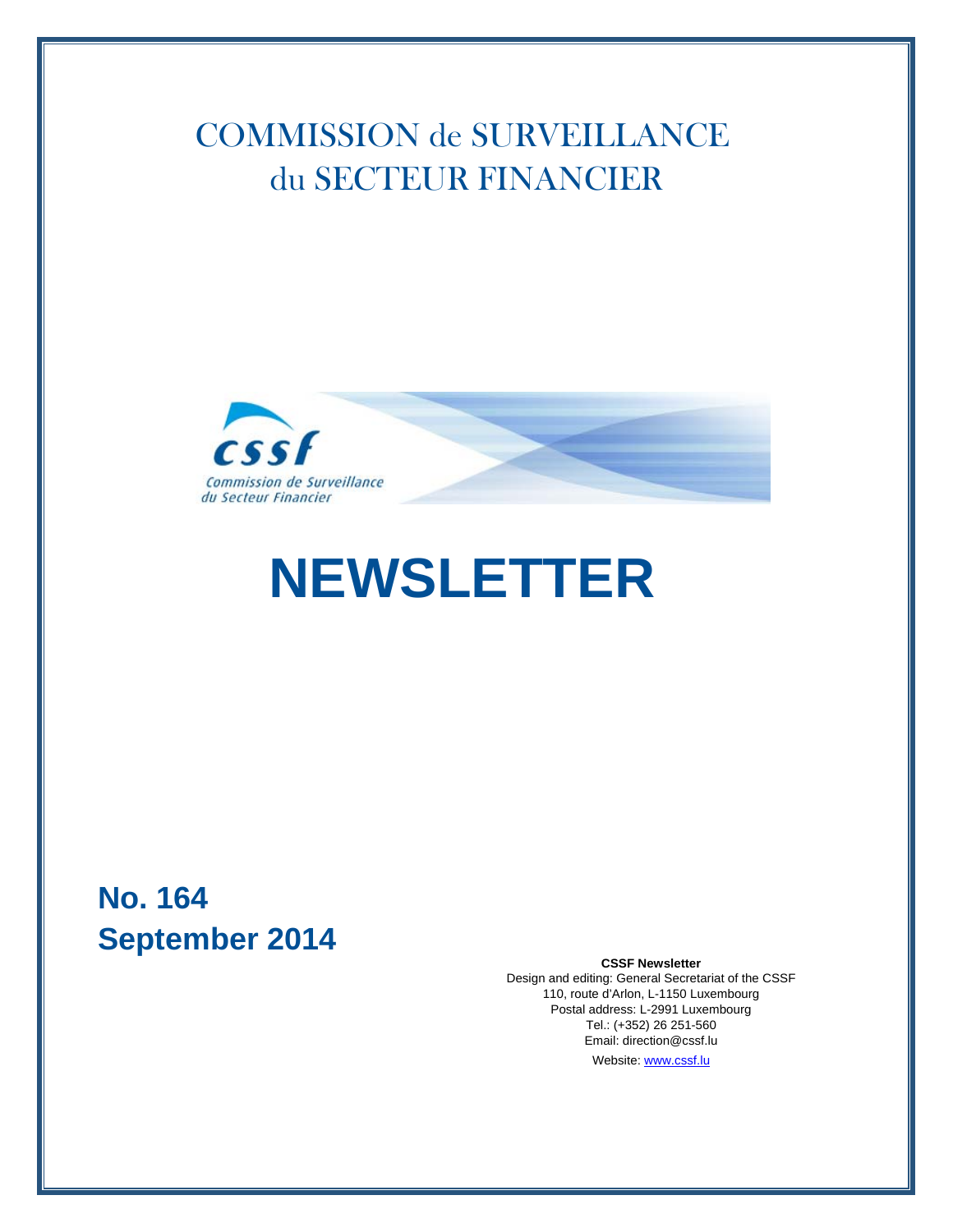## COMMISSION de SURVEILLANCE du SECTEUR FINANCIER



# **NEWSLETTER**

### **No. 164 September 2014**

#### **CSSF Newsletter**

Design and editing: General Secretariat of the CSSF 110, route d'Arlon, L-1150 Luxembourg Postal address: L-2991 Luxembourg Tel.: (+352) 26 251-560 Email: direction@cssf.lu Website: [www.cssf.lu](http://www.cssf.lu/en/)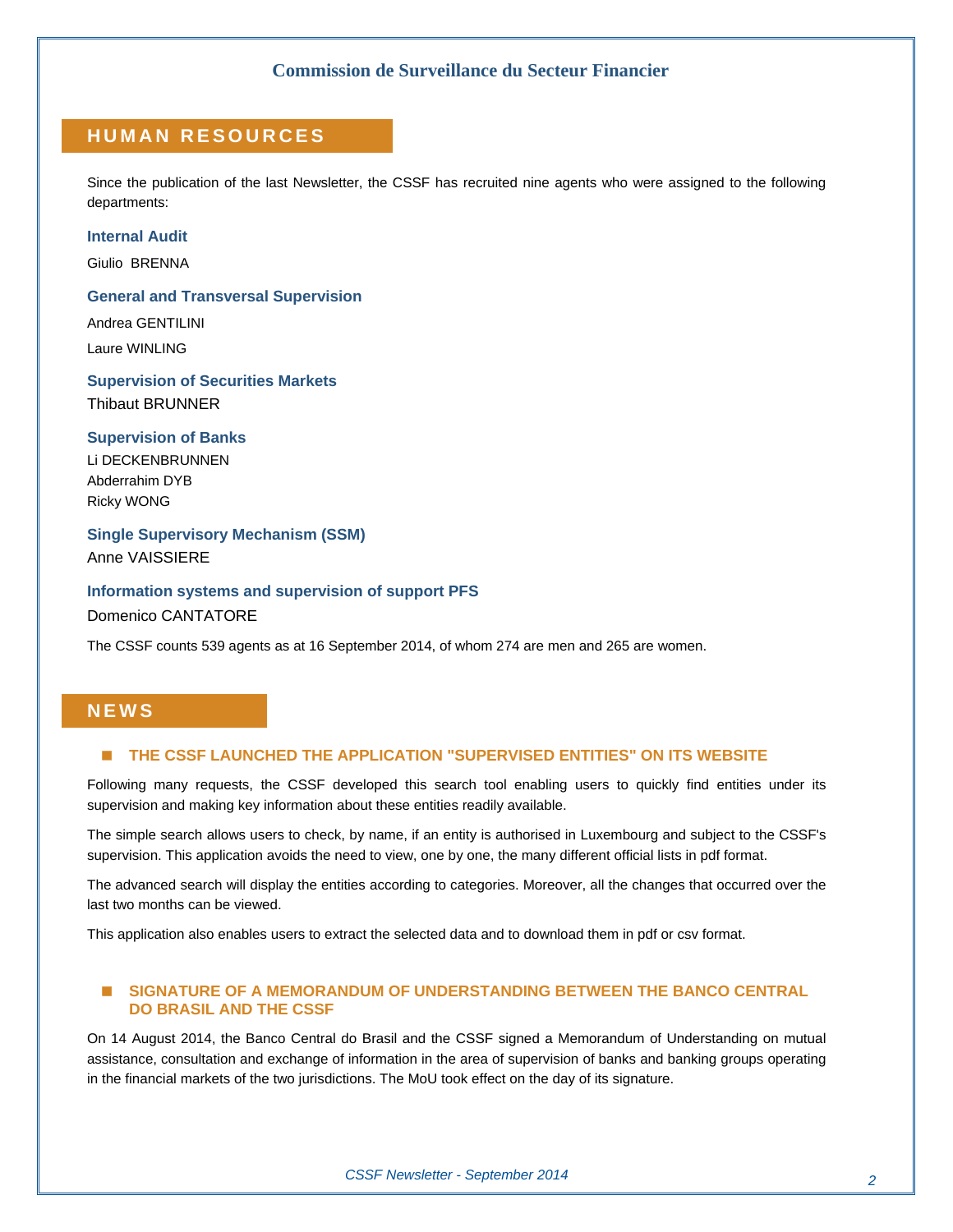#### **HUMAN RESOURCES**

Since the publication of the last Newsletter, the CSSF has recruited nine agents who were assigned to the following departments:

#### **Internal Audit**

Giulio BRENNA

#### **General and Transversal Supervision**

Andrea GENTILINI Laure WINLING

#### **Supervision of Securities Markets**  Thibaut BRUNNER

#### **Supervision of Banks**

Li DECKENBRUNNEN Abderrahim DYB Ricky WONG

**Single Supervisory Mechanism (SSM)**  Anne VAISSIERE

#### **Information systems and supervision of support PFS**

Domenico CANTATORE

The CSSF counts 539 agents as at 16 September 2014, of whom 274 are men and 265 are women.

#### **NEWS**

#### **THE CSSF LAUNCHED THE APPLICATION "SUPERVISED ENTITIES" ON ITS WEBSITE**

Following many requests, the CSSF developed this search tool enabling users to quickly find entities under its supervision and making key information about these entities readily available.

The simple search allows users to check, by name, if an entity is authorised in Luxembourg and subject to the CSSF's supervision. This application avoids the need to view, one by one, the many different official lists in pdf format.

The advanced search will display the entities according to categories. Moreover, all the changes that occurred over the last two months can be viewed.

This application also enables users to extract the selected data and to download them in pdf or csv format.

#### **SIGNATURE OF A MEMORANDUM OF UNDERSTANDING BETWEEN THE BANCO CENTRAL DO BRASIL AND THE CSSF**

On 14 August 2014, the Banco Central do Brasil and the CSSF signed a Memorandum of Understanding on mutual assistance, consultation and exchange of information in the area of supervision of banks and banking groups operating in the financial markets of the two jurisdictions. The MoU took effect on the day of its signature.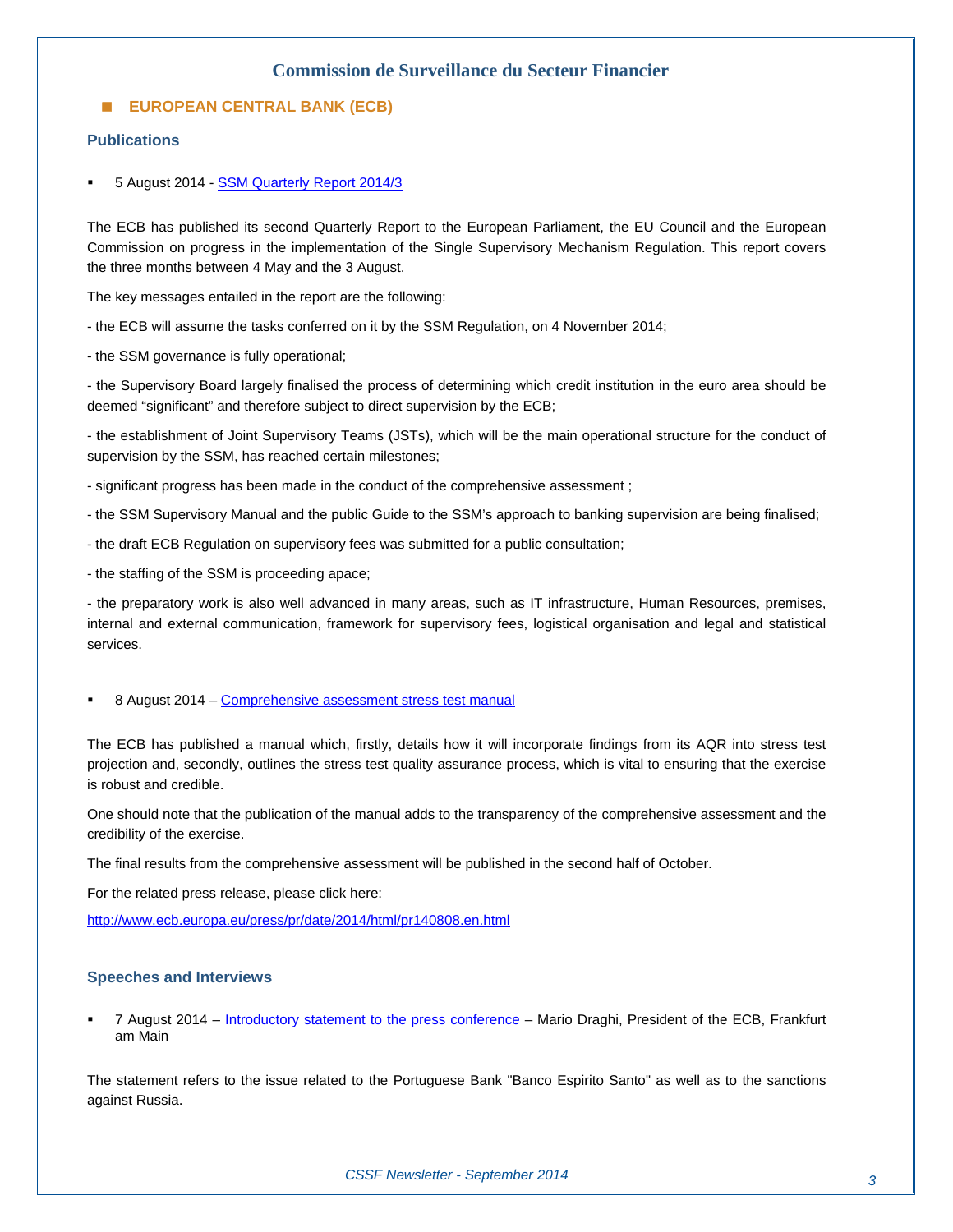#### **EUROPEAN CENTRAL BANK (ECB)**

#### **Publications**

5 August 2014 - [SSM Quarterly Report 2014/3](https://www.ecb.europa.eu/pub/pdf/other/ssmqr20143en.pdf) 

The ECB has published its second Quarterly Report to the European Parliament, the EU Council and the European Commission on progress in the implementation of the Single Supervisory Mechanism Regulation. This report covers the three months between 4 May and the 3 August.

The key messages entailed in the report are the following:

- the ECB will assume the tasks conferred on it by the SSM Regulation, on 4 November 2014;

- the SSM governance is fully operational;

- the Supervisory Board largely finalised the process of determining which credit institution in the euro area should be deemed "significant" and therefore subject to direct supervision by the ECB;

- the establishment of Joint Supervisory Teams (JSTs), which will be the main operational structure for the conduct of supervision by the SSM, has reached certain milestones;

- significant progress has been made in the conduct of the comprehensive assessment ;

- the SSM Supervisory Manual and the public Guide to the SSM's approach to banking supervision are being finalised;
- the draft ECB Regulation on supervisory fees was submitted for a public consultation;
- the staffing of the SSM is proceeding apace;

- the preparatory work is also well advanced in many areas, such as IT infrastructure, Human Resources, premises, internal and external communication, framework for supervisory fees, logistical organisation and legal and statistical services.

8 August 2014 – [Comprehensive assessment stress test manual](http://www.ecb.europa.eu/pub/pdf/other/castmanual201408en.pdf)

The ECB has published a manual which, firstly, details how it will incorporate findings from its AQR into stress test projection and, secondly, outlines the stress test quality assurance process, which is vital to ensuring that the exercise is robust and credible.

One should note that the publication of the manual adds to the transparency of the comprehensive assessment and the credibility of the exercise.

The final results from the comprehensive assessment will be published in the second half of October.

For the related press release, please click here:

<http://www.ecb.europa.eu/press/pr/date/2014/html/pr140808.en.html>

#### **Speeches and Interviews**

 7 August 2014 – [Introductory statement to the press conference](http://www.ecb.europa.eu/press/pressconf/2014/html/is140807.en.html) – Mario Draghi, President of the ECB, Frankfurt am Main

The statement refers to the issue related to the Portuguese Bank "Banco Espirito Santo" as well as to the sanctions against Russia.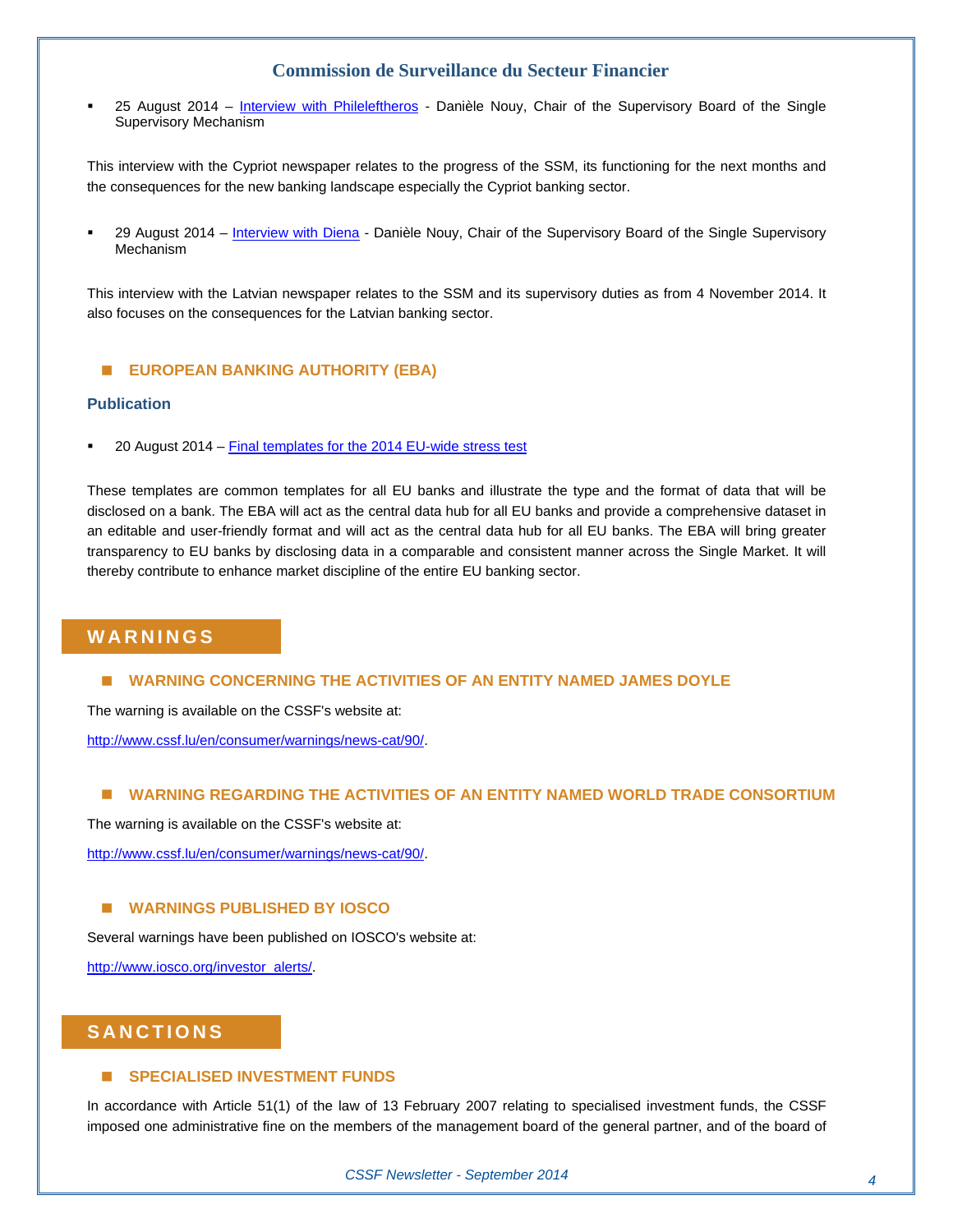25 August 2014 – [Interview with Phileleftheros](http://www.ecb.europa.eu/press/inter/date/2014/html/sp140825.en.html) - Danièle Nouy, Chair of the Supervisory Board of the Single Supervisory Mechanism

This interview with the Cypriot newspaper relates to the progress of the SSM, its functioning for the next months and the consequences for the new banking landscape especially the Cypriot banking sector.

 29 August 2014 – [Interview with Diena](http://www.ecb.europa.eu/press/inter/date/2014/html/sp140829.en.html) - Danièle Nouy, Chair of the Supervisory Board of the Single Supervisory Mechanism

This interview with the Latvian newspaper relates to the SSM and its supervisory duties as from 4 November 2014. It also focuses on the consequences for the Latvian banking sector.

#### **EUROPEAN BANKING AUTHORITY (EBA)**

#### **Publication**

20 August 2014 – [Final templates for the 2014 EU-wide stress test](http://www.eba.europa.eu/-/eba-publishes-final-templates-for-the-2014-eu-wide-stress-test)

These templates are common templates for all EU banks and illustrate the type and the format of data that will be disclosed on a bank. The EBA will act as the central data hub for all EU banks and provide a comprehensive dataset in an editable and user-friendly format and will act as the central data hub for all EU banks. The EBA will bring greater transparency to EU banks by disclosing data in a comparable and consistent manner across the Single Market. It will thereby contribute to enhance market discipline of the entire EU banking sector.

#### **WARNINGS**

#### **WARNING CONCERNING THE ACTIVITIES OF AN ENTITY NAMED JAMES DOYLE**

The warning is available on the CSSF's website at:

<http://www.cssf.lu/en/consumer/warnings/news-cat/90/>.

#### **WARNING REGARDING THE ACTIVITIES OF AN ENTITY NAMED WORLD TRADE CONSORTIUM**

The warning is available on the CSSF's website at:

<http://www.cssf.lu/en/consumer/warnings/news-cat/90/>.

#### **WARNINGS PUBLISHED BY IOSCO**

Several warnings have been published on IOSCO's website at:

[http://www.iosco.org/investor\\_alerts/.](http://www.iosco.org/investor_alerts/)

#### **SANCTIONS**

#### **SPECIALISED INVESTMENT FUNDS**

In accordance with Article 51(1) of the law of 13 February 2007 relating to specialised investment funds, the CSSF imposed one administrative fine on the members of the management board of the general partner, and of the board of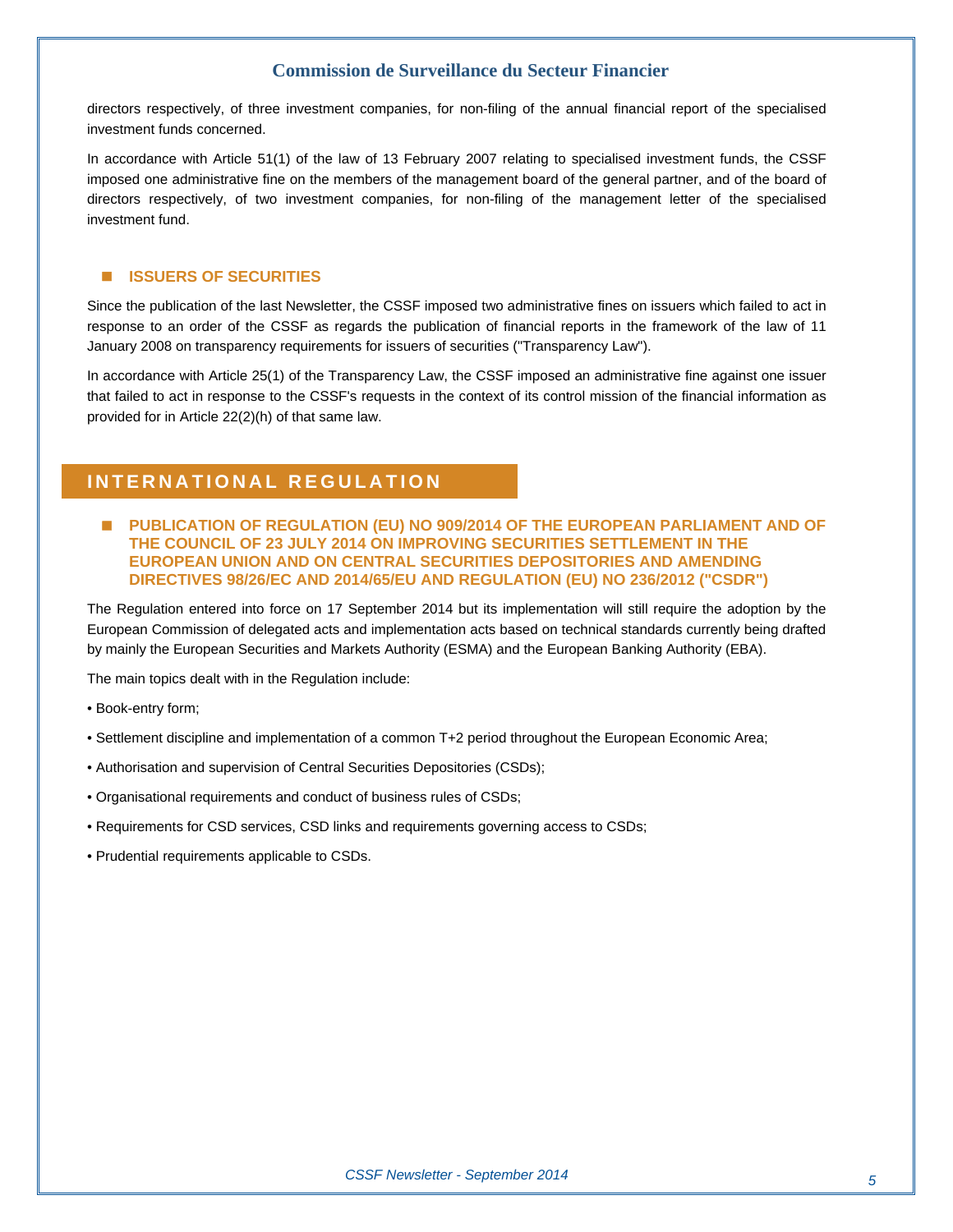directors respectively, of three investment companies, for non-filing of the annual financial report of the specialised investment funds concerned.

In accordance with Article 51(1) of the law of 13 February 2007 relating to specialised investment funds, the CSSF imposed one administrative fine on the members of the management board of the general partner, and of the board of directors respectively, of two investment companies, for non-filing of the management letter of the specialised investment fund.

#### **E** ISSUERS OF SECURITIES

Since the publication of the last Newsletter, the CSSF imposed two administrative fines on issuers which failed to act in response to an order of the CSSF as regards the publication of financial reports in the framework of the law of 11 January 2008 on transparency requirements for issuers of securities ("Transparency Law").

In accordance with Article 25(1) of the Transparency Law, the CSSF imposed an administrative fine against one issuer that failed to act in response to the CSSF's requests in the context of its control mission of the financial information as provided for in Article 22(2)(h) of that same law.

#### **INTERNATIONAL REGULATION**

 **PUBLICATION OF REGULATION (EU) NO 909/2014 OF THE EUROPEAN PARLIAMENT AND OF THE COUNCIL OF 23 JULY 2014 ON IMPROVING SECURITIES SETTLEMENT IN THE EUROPEAN UNION AND ON CENTRAL SECURITIES DEPOSITORIES AND AMENDING DIRECTIVES 98/26/EC AND 2014/65/EU AND REGULATION (EU) NO 236/2012 ("CSDR")** 

The Regulation entered into force on 17 September 2014 but its implementation will still require the adoption by the European Commission of delegated acts and implementation acts based on technical standards currently being drafted by mainly the European Securities and Markets Authority (ESMA) and the European Banking Authority (EBA).

The main topics dealt with in the Regulation include:

- Book-entry form;
- Settlement discipline and implementation of a common T+2 period throughout the European Economic Area;
- Authorisation and supervision of Central Securities Depositories (CSDs);
- Organisational requirements and conduct of business rules of CSDs;
- Requirements for CSD services, CSD links and requirements governing access to CSDs;
- Prudential requirements applicable to CSDs.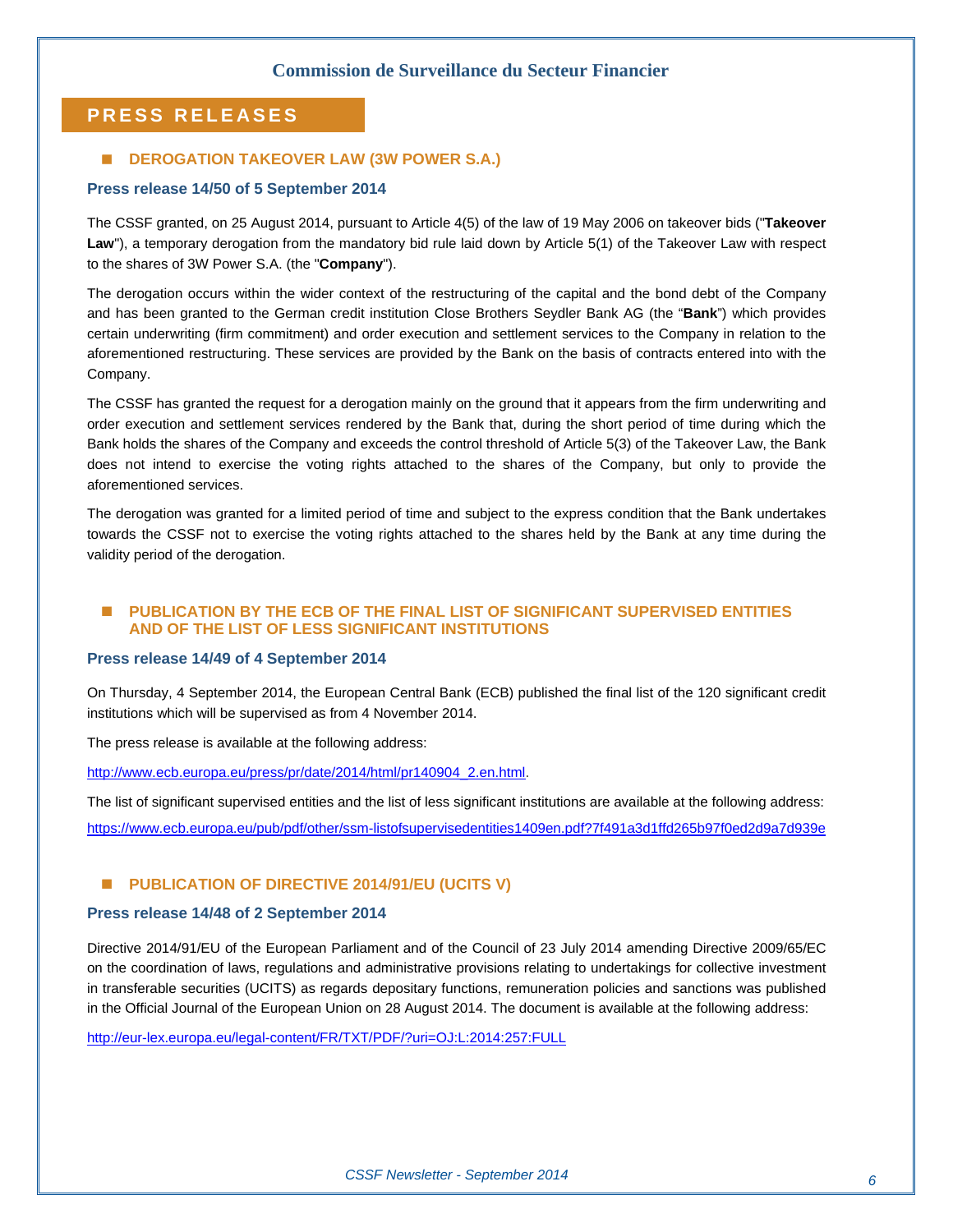#### **PRESS RELEASES**

#### ■ **DEROGATION TAKEOVER LAW (3W POWER S.A.)**

#### **Press release 14/50 of 5 September 2014**

The CSSF granted, on 25 August 2014, pursuant to Article 4(5) of the law of 19 May 2006 on takeover bids ("**Takeover**  Law"), a temporary derogation from the mandatory bid rule laid down by Article 5(1) of the Takeover Law with respect to the shares of 3W Power S.A. (the "**Company**").

The derogation occurs within the wider context of the restructuring of the capital and the bond debt of the Company and has been granted to the German credit institution Close Brothers Seydler Bank AG (the "**Bank**") which provides certain underwriting (firm commitment) and order execution and settlement services to the Company in relation to the aforementioned restructuring. These services are provided by the Bank on the basis of contracts entered into with the Company.

The CSSF has granted the request for a derogation mainly on the ground that it appears from the firm underwriting and order execution and settlement services rendered by the Bank that, during the short period of time during which the Bank holds the shares of the Company and exceeds the control threshold of Article 5(3) of the Takeover Law, the Bank does not intend to exercise the voting rights attached to the shares of the Company, but only to provide the aforementioned services.

The derogation was granted for a limited period of time and subject to the express condition that the Bank undertakes towards the CSSF not to exercise the voting rights attached to the shares held by the Bank at any time during the validity period of the derogation.

#### **PUBLICATION BY THE ECB OF THE FINAL LIST OF SIGNIFICANT SUPERVISED ENTITIES AND OF THE LIST OF LESS SIGNIFICANT INSTITUTIONS**

#### **Press release 14/49 of 4 September 2014**

On Thursday, 4 September 2014, the European Central Bank (ECB) published the final list of the 120 significant credit institutions which will be supervised as from 4 November 2014.

The press release is available at the following address:

[http://www.ecb.europa.eu/press/pr/date/2014/html/pr140904\\_2.en.html.](http://www.ecb.europa.eu/press/pr/date/2014/html/pr140904_2.en.html)

The list of significant supervised entities and the list of less significant institutions are available at the following address: <https://www.ecb.europa.eu/pub/pdf/other/ssm-listofsupervisedentities1409en.pdf?7f491a3d1ffd265b97f0ed2d9a7d939e>

#### **E** PUBLICATION OF DIRECTIVE 2014/91/EU (UCITS V)

#### **Press release 14/48 of 2 September 2014**

Directive 2014/91/EU of the European Parliament and of the Council of 23 July 2014 amending Directive 2009/65/EC on the coordination of laws, regulations and administrative provisions relating to undertakings for collective investment in transferable securities (UCITS) as regards depositary functions, remuneration policies and sanctions was published in the Official Journal of the European Union on 28 August 2014. The document is available at the following address:

<http://eur-lex.europa.eu/legal-content/FR/TXT/PDF/?uri=OJ:L:2014:257:FULL>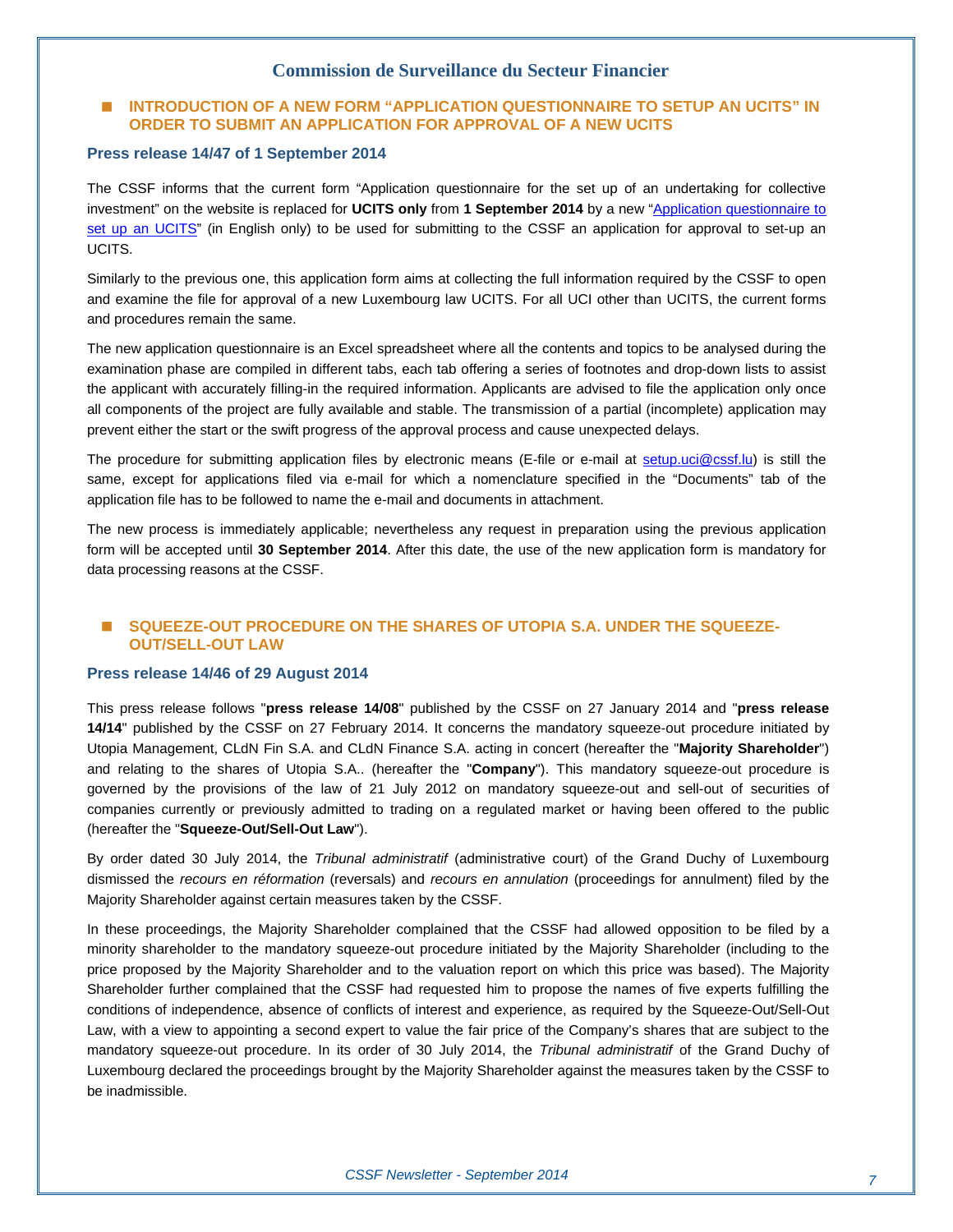#### **INTRODUCTION OF A NEW FORM "APPLICATION QUESTIONNAIRE TO SETUP AN UCITS" IN ORDER TO SUBMIT AN APPLICATION FOR APPROVAL OF A NEW UCITS**

#### **Press release 14/47 of 1 September 2014**

The CSSF informs that the current form "Application questionnaire for the set up of an undertaking for collective investment" on the website is replaced for **UCITS only** from **1 September 2014** by a new "[Application questionnaire to](http://www.cssf.lu/fileadmin/files/Metier_OPC/Formulaires/UCITS_Questionnaire.xls)  [set up an UCITS"](http://www.cssf.lu/fileadmin/files/Metier_OPC/Formulaires/UCITS_Questionnaire.xls) (in English only) to be used for submitting to the CSSF an application for approval to set-up an UCITS.

Similarly to the previous one, this application form aims at collecting the full information required by the CSSF to open and examine the file for approval of a new Luxembourg law UCITS. For all UCI other than UCITS, the current forms and procedures remain the same.

The new application questionnaire is an Excel spreadsheet where all the contents and topics to be analysed during the examination phase are compiled in different tabs, each tab offering a series of footnotes and drop-down lists to assist the applicant with accurately filling-in the required information. Applicants are advised to file the application only once all components of the project are fully available and stable. The transmission of a partial (incomplete) application may prevent either the start or the swift progress of the approval process and cause unexpected delays.

The procedure for submitting application files by electronic means (E-file or e-mail at [setup.uci@cssf.lu\)](mailto:setup.uci@cssf.lu) is still the same, except for applications filed via e-mail for which a nomenclature specified in the "Documents" tab of the application file has to be followed to name the e-mail and documents in attachment.

The new process is immediately applicable; nevertheless any request in preparation using the previous application form will be accepted until **30 September 2014**. After this date, the use of the new application form is mandatory for data processing reasons at the CSSF.

#### **SQUEEZE-OUT PROCEDURE ON THE SHARES OF UTOPIA S.A. UNDER THE SQUEEZE-OUT/SELL-OUT LAW**

#### **Press release 14/46 of 29 August 2014**

This press release follows "**press release 14/08**" published by the CSSF on 27 January 2014 and "**press release 14/14**" published by the CSSF on 27 February 2014. It concerns the mandatory squeeze-out procedure initiated by Utopia Management, CLdN Fin S.A. and CLdN Finance S.A. acting in concert (hereafter the "**Majority Shareholder**") and relating to the shares of Utopia S.A.. (hereafter the "**Company**"). This mandatory squeeze-out procedure is governed by the provisions of the law of 21 July 2012 on mandatory squeeze-out and sell-out of securities of companies currently or previously admitted to trading on a regulated market or having been offered to the public (hereafter the "**Squeeze-Out/Sell-Out Law**").

By order dated 30 July 2014, the *Tribunal administratif* (administrative court) of the Grand Duchy of Luxembourg dismissed the *recours en réformation* (reversals) and *recours en annulation* (proceedings for annulment) filed by the Majority Shareholder against certain measures taken by the CSSF.

In these proceedings, the Majority Shareholder complained that the CSSF had allowed opposition to be filed by a minority shareholder to the mandatory squeeze-out procedure initiated by the Majority Shareholder (including to the price proposed by the Majority Shareholder and to the valuation report on which this price was based). The Majority Shareholder further complained that the CSSF had requested him to propose the names of five experts fulfilling the conditions of independence, absence of conflicts of interest and experience, as required by the Squeeze-Out/Sell-Out Law, with a view to appointing a second expert to value the fair price of the Company's shares that are subject to the mandatory squeeze-out procedure. In its order of 30 July 2014, the *Tribunal administratif* of the Grand Duchy of Luxembourg declared the proceedings brought by the Majority Shareholder against the measures taken by the CSSF to be inadmissible.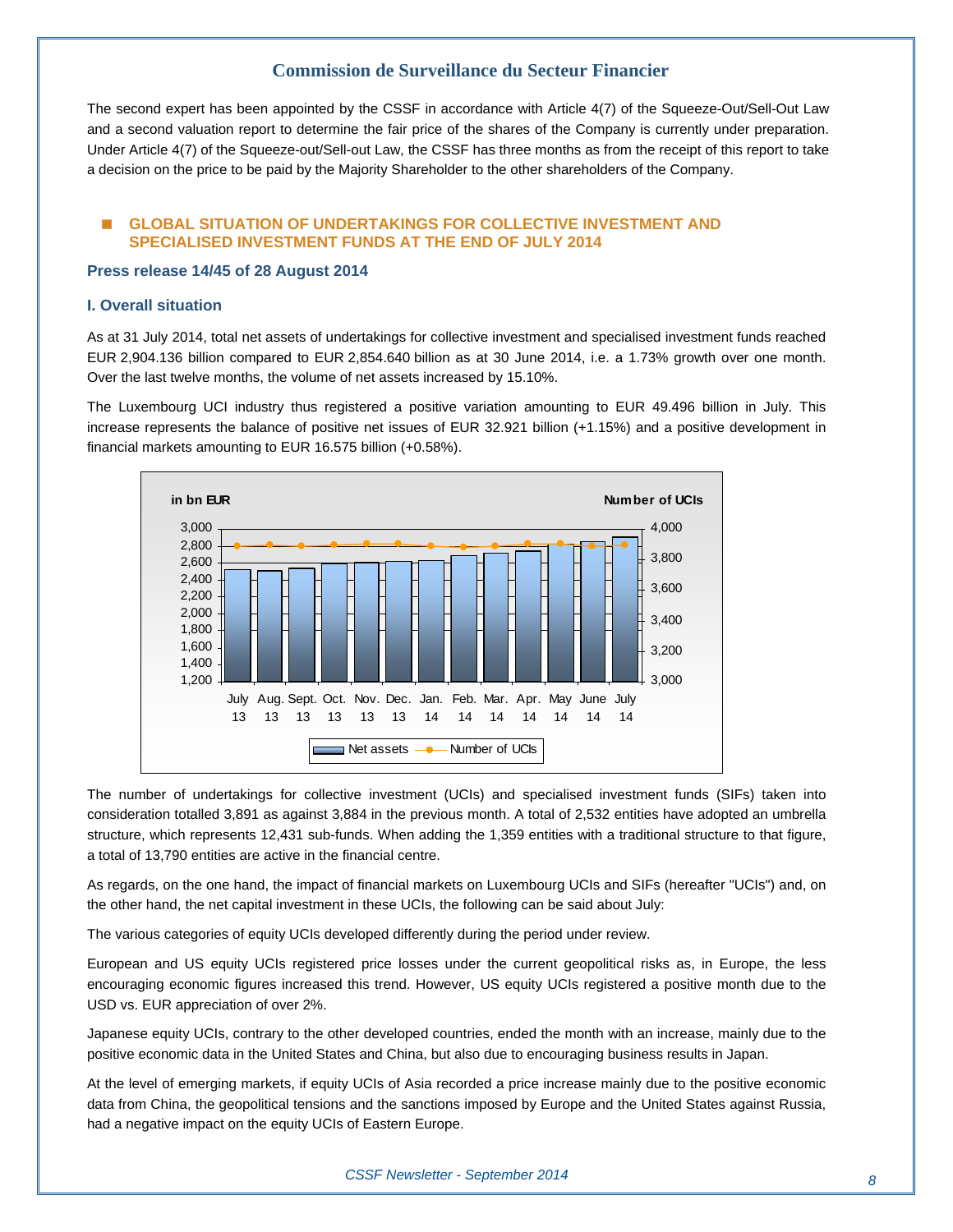The second expert has been appointed by the CSSF in accordance with Article 4(7) of the Squeeze-Out/Sell-Out Law and a second valuation report to determine the fair price of the shares of the Company is currently under preparation. Under Article 4(7) of the Squeeze-out/Sell-out Law, the CSSF has three months as from the receipt of this report to take a decision on the price to be paid by the Majority Shareholder to the other shareholders of the Company.

#### **GLOBAL SITUATION OF UNDERTAKINGS FOR COLLECTIVE INVESTMENT AND SPECIALISED INVESTMENT FUNDS AT THE END OF JULY 2014**

#### **Press release 14/45 of 28 August 2014**

#### **I. Overall situation**

As at 31 July 2014, total net assets of undertakings for collective investment and specialised investment funds reached EUR 2,904.136 billion compared to EUR 2,854.640 billion as at 30 June 2014, i.e. a 1.73% growth over one month. Over the last twelve months, the volume of net assets increased by 15.10%.

The Luxembourg UCI industry thus registered a positive variation amounting to EUR 49.496 billion in July. This increase represents the balance of positive net issues of EUR 32.921 billion (+1.15%) and a positive development in financial markets amounting to EUR 16.575 billion (+0.58%).



The number of undertakings for collective investment (UCIs) and specialised investment funds (SIFs) taken into consideration totalled 3,891 as against 3,884 in the previous month. A total of 2,532 entities have adopted an umbrella structure, which represents 12,431 sub-funds. When adding the 1,359 entities with a traditional structure to that figure, a total of 13,790 entities are active in the financial centre.

As regards, on the one hand, the impact of financial markets on Luxembourg UCIs and SIFs (hereafter "UCIs") and, on the other hand, the net capital investment in these UCIs, the following can be said about July:

The various categories of equity UCIs developed differently during the period under review.

European and US equity UCIs registered price losses under the current geopolitical risks as, in Europe, the less encouraging economic figures increased this trend. However, US equity UCIs registered a positive month due to the USD vs. EUR appreciation of over 2%.

Japanese equity UCIs, contrary to the other developed countries, ended the month with an increase, mainly due to the positive economic data in the United States and China, but also due to encouraging business results in Japan.

At the level of emerging markets, if equity UCIs of Asia recorded a price increase mainly due to the positive economic data from China, the geopolitical tensions and the sanctions imposed by Europe and the United States against Russia, had a negative impact on the equity UCIs of Eastern Europe.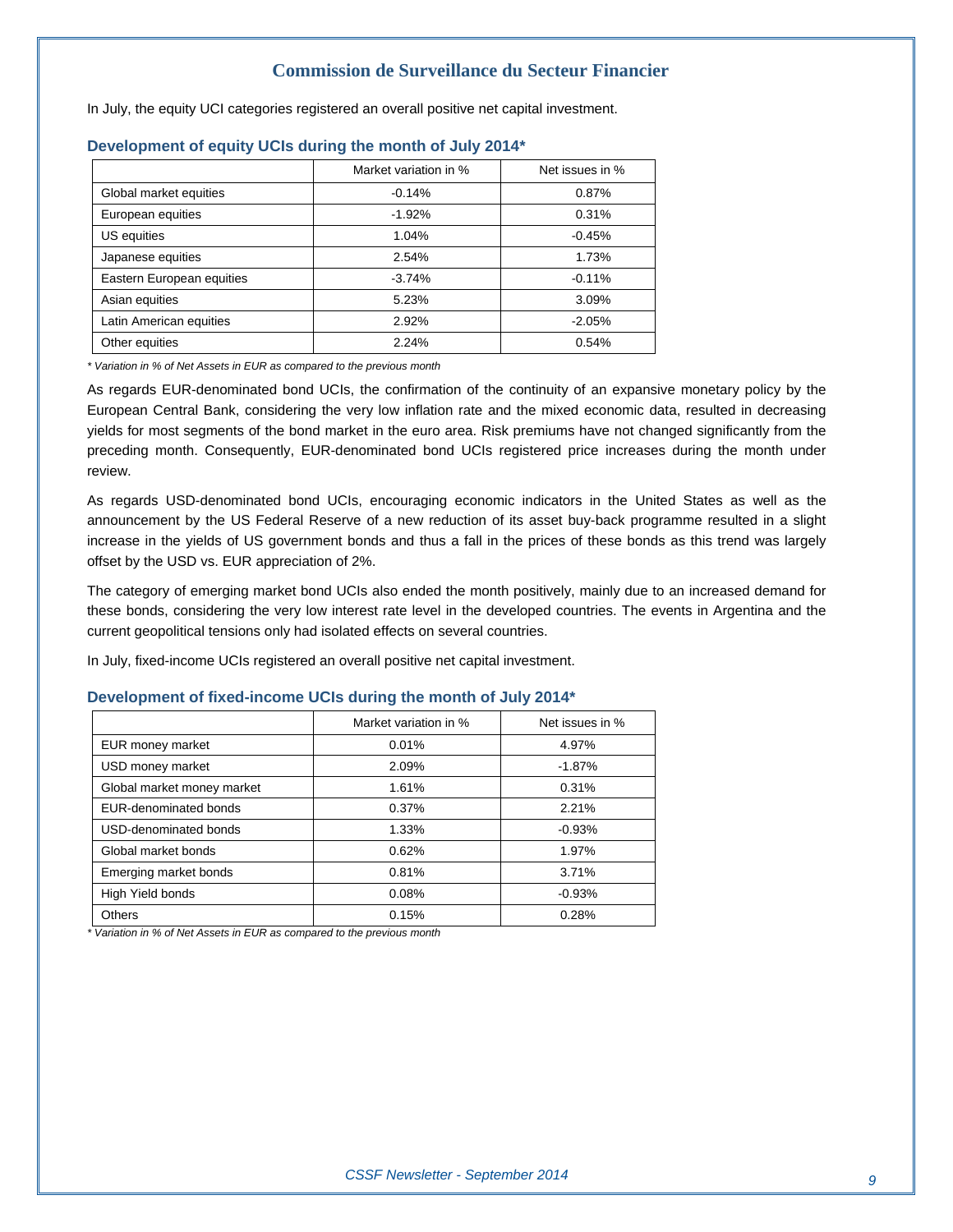In July, the equity UCI categories registered an overall positive net capital investment.

|                           | Market variation in % | Net issues in % |
|---------------------------|-----------------------|-----------------|
| Global market equities    | $-0.14%$              | 0.87%           |
| European equities         | $-1.92%$              | 0.31%           |
| US equities               | 1.04%                 | $-0.45%$        |
| Japanese equities         | 2.54%                 | 1.73%           |
| Eastern European equities | $-3.74%$              | $-0.11%$        |
| Asian equities            | 5.23%                 | 3.09%           |
| Latin American equities   | 2.92%                 | $-2.05%$        |
| Other equities            | 2.24%                 | 0.54%           |

#### **Development of equity UCIs during the month of July 2014\***

*\* Variation in % of Net Assets in EUR as compared to the previous month* 

As regards EUR-denominated bond UCIs, the confirmation of the continuity of an expansive monetary policy by the European Central Bank, considering the very low inflation rate and the mixed economic data, resulted in decreasing yields for most segments of the bond market in the euro area. Risk premiums have not changed significantly from the preceding month. Consequently, EUR-denominated bond UCIs registered price increases during the month under review.

As regards USD-denominated bond UCIs, encouraging economic indicators in the United States as well as the announcement by the US Federal Reserve of a new reduction of its asset buy-back programme resulted in a slight increase in the yields of US government bonds and thus a fall in the prices of these bonds as this trend was largely offset by the USD vs. EUR appreciation of 2%.

The category of emerging market bond UCIs also ended the month positively, mainly due to an increased demand for these bonds, considering the very low interest rate level in the developed countries. The events in Argentina and the current geopolitical tensions only had isolated effects on several countries.

In July, fixed-income UCIs registered an overall positive net capital investment.

#### **Development of fixed-income UCIs during the month of July 2014\***

|                            | Market variation in % | Net issues in %   |  |
|----------------------------|-----------------------|-------------------|--|
| EUR money market           | 0.01%                 | 4.97%             |  |
| USD money market           | 2.09%                 | $-1.87%$          |  |
| Global market money market | 1.61%                 | 0.31%             |  |
| EUR-denominated bonds      | 0.37%                 | 2.21%<br>$-0.93%$ |  |
| USD-denominated bonds      | 1.33%                 |                   |  |
| Global market bonds        | 0.62%                 | 1.97%             |  |
| Emerging market bonds      | 0.81%                 | 3.71%             |  |
| High Yield bonds           | 0.08%                 | $-0.93%$          |  |
| Others                     | 0.15%                 | 0.28%             |  |

*\* Variation in % of Net Assets in EUR as compared to the previous month*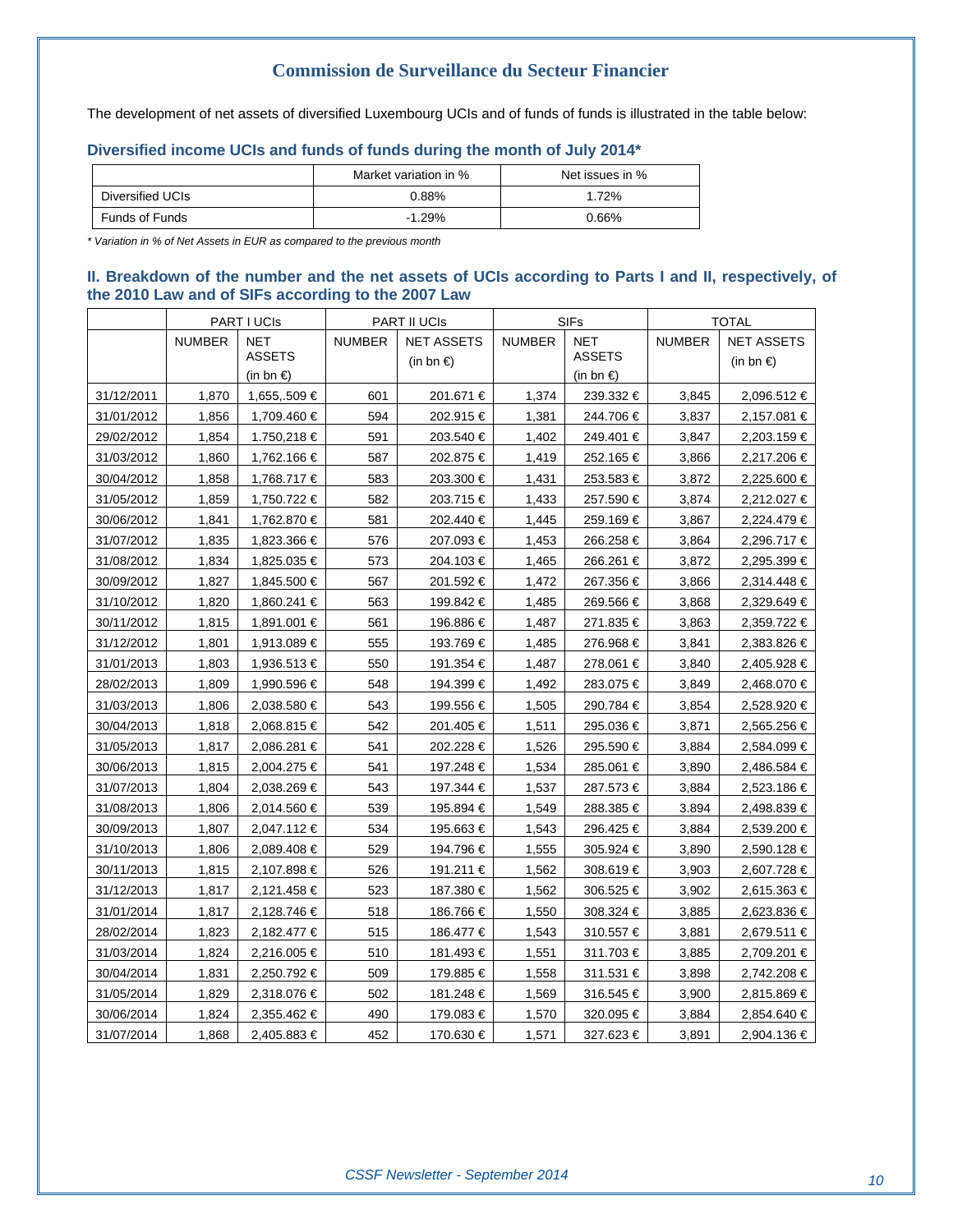The development of net assets of diversified Luxembourg UCIs and of funds of funds is illustrated in the table below:

#### **Diversified income UCIs and funds of funds during the month of July 2014\***

|                       | Market variation in % | Net issues in % |  |
|-----------------------|-----------------------|-----------------|--|
| Diversified UCIs      | $0.88\%$              | $.72\%$         |  |
| <b>Funds of Funds</b> | $-1.29%$              | 0.66%           |  |

*\* Variation in % of Net Assets in EUR as compared to the previous month* 

#### **II. Breakdown of the number and the net assets of UCIs according to Parts I and II, respectively, of the 2010 Law and of SIFs according to the 2007 Law**

|            |               | <b>PART I UCIS</b>                       |               | <b>PART II UCIS</b>                      | <b>SIFs</b>   |                                               | <b>TOTAL</b>  |                                          |
|------------|---------------|------------------------------------------|---------------|------------------------------------------|---------------|-----------------------------------------------|---------------|------------------------------------------|
|            | <b>NUMBER</b> | <b>NET</b><br><b>ASSETS</b><br>(in bn €) | <b>NUMBER</b> | <b>NET ASSETS</b><br>(in bn $\epsilon$ ) | <b>NUMBER</b> | <b>NET</b><br><b>ASSETS</b><br>(in bn $\in$ ) | <b>NUMBER</b> | <b>NET ASSETS</b><br>(in bn $\epsilon$ ) |
| 31/12/2011 | 1,870         | 1,655,.509 €                             | 601           | 201.671 €                                | 1,374         | 239.332 €                                     | 3,845         | 2,096.512 €                              |
| 31/01/2012 | 1,856         | 1,709.460 €                              | 594           | 202.915 €                                | 1,381         | 244.706€                                      | 3,837         | 2,157.081 €                              |
| 29/02/2012 | 1,854         | 1.750,218 €                              | 591           | 203.540 €                                | 1,402         | 249.401 €                                     | 3,847         | 2,203.159 €                              |
| 31/03/2012 | 1,860         | 1,762.166 €                              | 587           | 202.875 €                                | 1,419         | 252.165 €                                     | 3,866         | 2,217.206 €                              |
| 30/04/2012 | 1,858         | 1,768.717 €                              | 583           | 203.300 €                                | 1,431         | 253.583€                                      | 3,872         | 2,225.600 €                              |
| 31/05/2012 | 1,859         | 1,750.722 €                              | 582           | 203.715 €                                | 1,433         | 257.590 €                                     | 3,874         | 2,212.027 €                              |
| 30/06/2012 | 1,841         | 1,762.870 €                              | 581           | 202.440 €                                | 1,445         | 259.169€                                      | 3,867         | 2,224.479 €                              |
| 31/07/2012 | 1,835         | 1,823.366 €                              | 576           | 207.093€                                 | 1,453         | 266.258€                                      | 3,864         | 2,296.717 €                              |
| 31/08/2012 | 1,834         | 1,825.035 €                              | 573           | 204.103 €                                | 1,465         | 266.261 €                                     | 3,872         | 2,295.399 €                              |
| 30/09/2012 | 1,827         | 1,845.500 €                              | 567           | 201.592 €                                | 1,472         | 267.356 €                                     | 3,866         | 2,314.448 €                              |
| 31/10/2012 | 1,820         | 1,860.241 €                              | 563           | 199.842 €                                | 1,485         | 269.566 €                                     | 3,868         | 2,329.649 €                              |
| 30/11/2012 | 1,815         | 1,891.001 €                              | 561           | 196.886 €                                | 1,487         | 271.835 €                                     | 3,863         | 2,359.722 €                              |
| 31/12/2012 | 1,801         | 1,913.089 €                              | 555           | 193.769 €                                | 1,485         | 276.968 €                                     | 3,841         | 2,383.826 €                              |
| 31/01/2013 | 1,803         | 1,936.513 €                              | 550           | 191.354 €                                | 1,487         | 278.061 €                                     | 3,840         | 2,405.928 €                              |
| 28/02/2013 | 1,809         | 1,990.596 €                              | 548           | 194.399 €                                | 1,492         | 283.075 €                                     | 3,849         | 2,468.070 €                              |
| 31/03/2013 | 1,806         | 2,038.580 €                              | 543           | 199.556€                                 | 1,505         | 290.784 €                                     | 3,854         | 2,528.920 €                              |
| 30/04/2013 | 1,818         | 2,068.815 €                              | 542           | 201.405 €                                | 1,511         | 295.036 €                                     | 3.871         | 2,565.256 €                              |
| 31/05/2013 | 1,817         | 2,086.281 €                              | 541           | 202.228 €                                | 1,526         | 295.590 €                                     | 3,884         | 2,584.099 €                              |
| 30/06/2013 | 1,815         | 2,004.275 €                              | 541           | 197.248 €                                | 1,534         | 285.061 €                                     | 3,890         | 2,486.584 €                              |
| 31/07/2013 | 1,804         | 2,038.269 €                              | 543           | 197.344 €                                | 1,537         | 287.573€                                      | 3,884         | 2,523.186 €                              |
| 31/08/2013 | 1,806         | 2,014.560 €                              | 539           | 195.894 €                                | 1,549         | 288.385 €                                     | 3.894         | 2,498.839 €                              |
| 30/09/2013 | 1,807         | 2,047.112 €                              | 534           | 195.663€                                 | 1,543         | 296.425 €                                     | 3,884         | 2,539.200 €                              |
| 31/10/2013 | 1,806         | 2,089.408 €                              | 529           | 194.796 €                                | 1,555         | 305.924 €                                     | 3,890         | 2,590.128 €                              |
| 30/11/2013 | 1,815         | 2,107.898 €                              | 526           | 191.211 €                                | 1,562         | 308.619€                                      | 3,903         | 2,607.728 €                              |
| 31/12/2013 | 1,817         | 2,121.458 €                              | 523           | 187.380 €                                | 1,562         | 306.525 €                                     | 3,902         | 2,615.363 €                              |
| 31/01/2014 | 1,817         | 2,128.746 €                              | 518           | 186.766 €                                | 1,550         | 308.324 €                                     | 3,885         | 2,623.836 €                              |
| 28/02/2014 | 1,823         | 2,182.477 €                              | 515           | 186.477 €                                | 1,543         | 310.557€                                      | 3,881         | 2,679.511 €                              |
| 31/03/2014 | 1,824         | 2,216.005 €                              | 510           | 181.493 €                                | 1,551         | 311.703€                                      | 3,885         | 2,709.201 €                              |
| 30/04/2014 | 1,831         | 2,250.792 €                              | 509           | 179.885 €                                | 1,558         | 311.531 €                                     | 3,898         | 2,742.208 €                              |
| 31/05/2014 | 1,829         | 2,318.076 €                              | 502           | 181.248 €                                | 1,569         | 316.545 €                                     | 3,900         | 2,815.869 €                              |
| 30/06/2014 | 1,824         | 2,355.462 €                              | 490           | 179.083 €                                | 1,570         | 320.095 €                                     | 3,884         | 2,854.640 €                              |
| 31/07/2014 | 1,868         | 2,405.883 €                              | 452           | 170.630 €                                | 1,571         | 327.623€                                      | 3,891         | 2,904.136 €                              |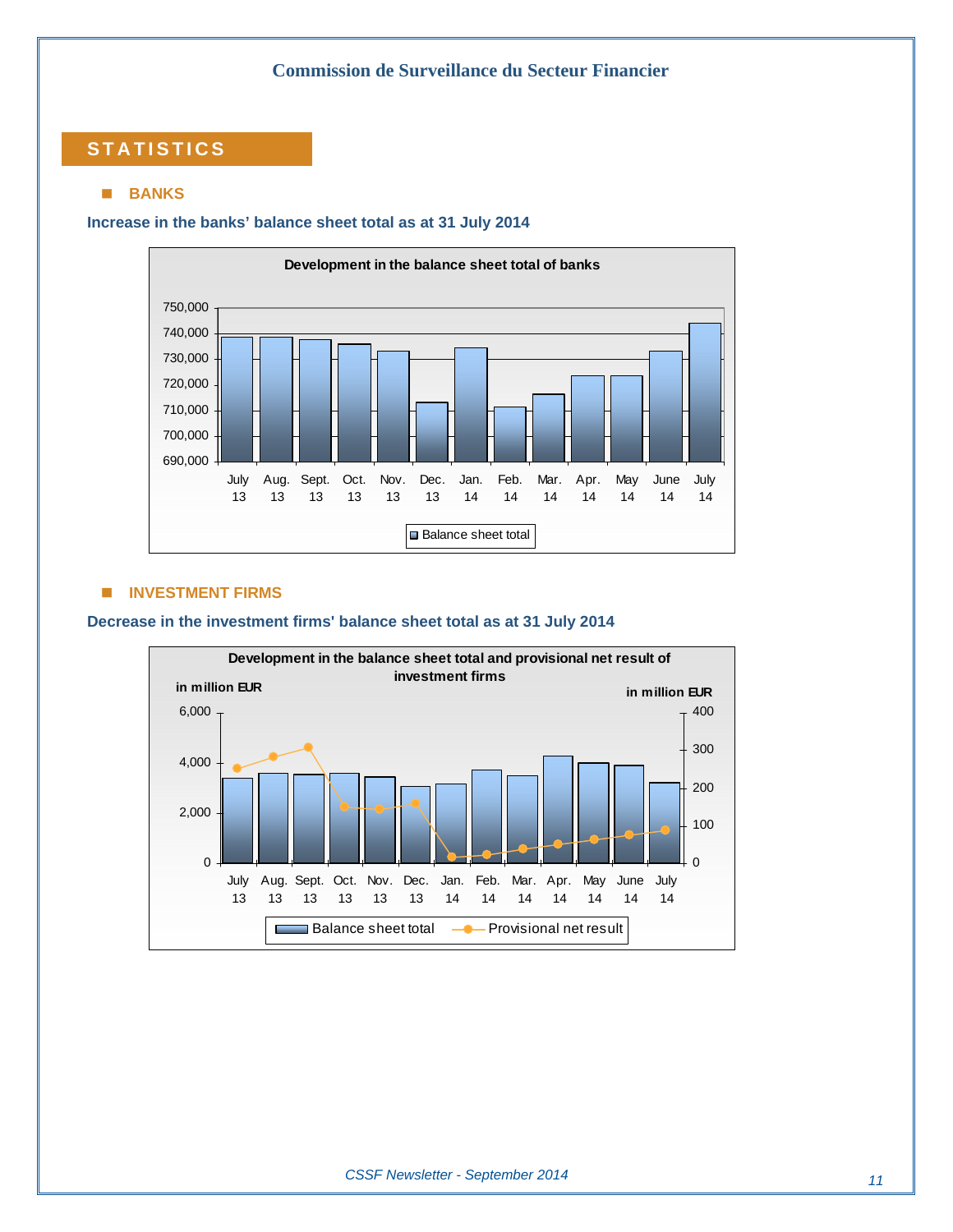### **STATISTICS**

#### **BANKS**

#### **Increase in the banks' balance sheet total as at 31 July 2014**



#### $\blacksquare$  **INVESTMENT FIRMS**

#### **Decrease in the investment firms' balance sheet total as at 31 July 2014**

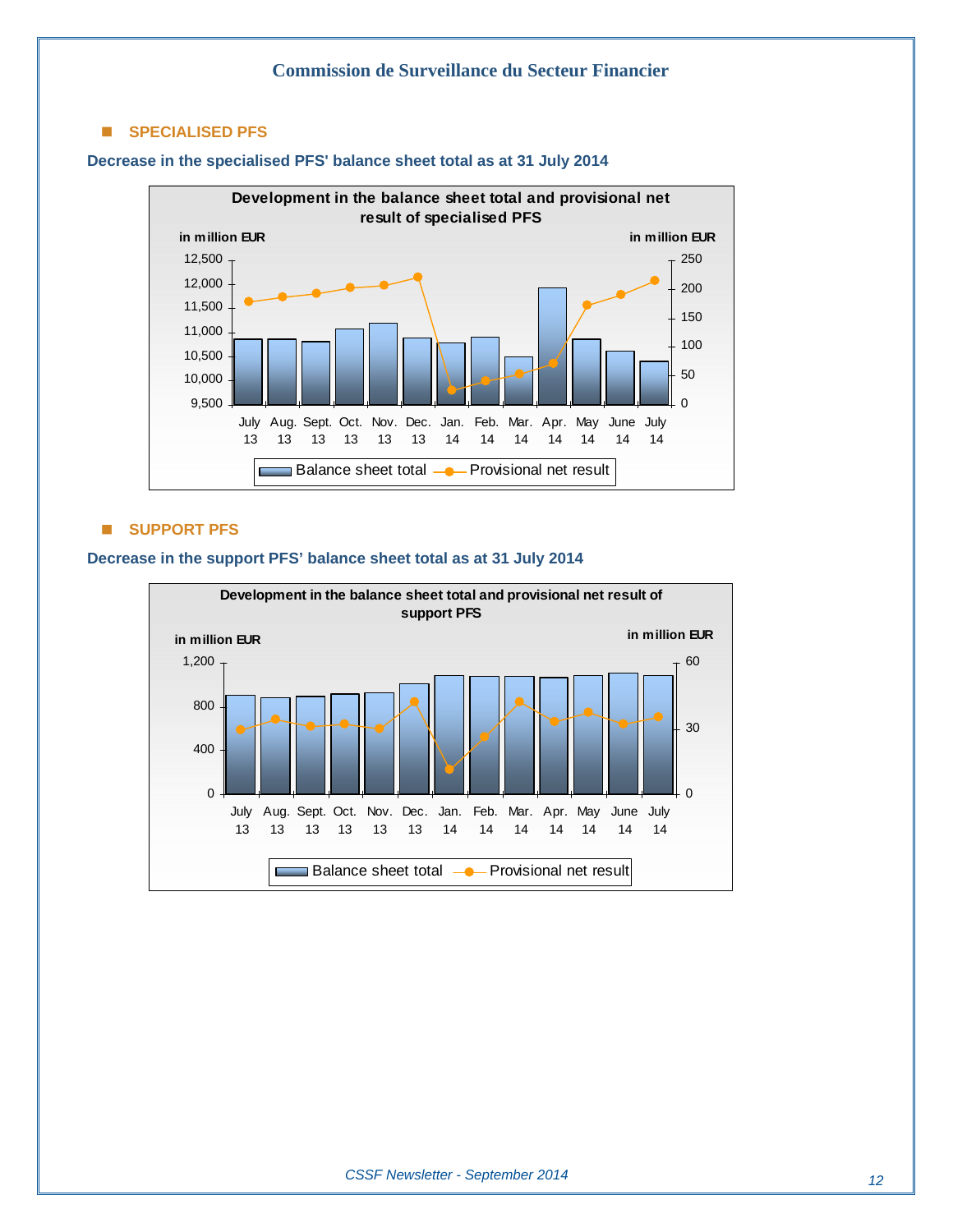#### **SPECIALISED PFS**



#### **Decrease in the specialised PFS' balance sheet total as at 31 July 2014**

#### **SUPPORT PFS**

#### **Development in the balance sheet total and provisional net result of support PFS in million EUR in million EUR** 1,200 60 800 30 400 0 0 July Aug. Sept. Oct. Nov. Dec. Jan. Feb. Mar. Apr. May June July 13 13 13 13 13 13 14 14 14 14 14 14 14 Balance sheet total -- Provisional net result с

#### **Decrease in the support PFS' balance sheet total as at 31 July 2014**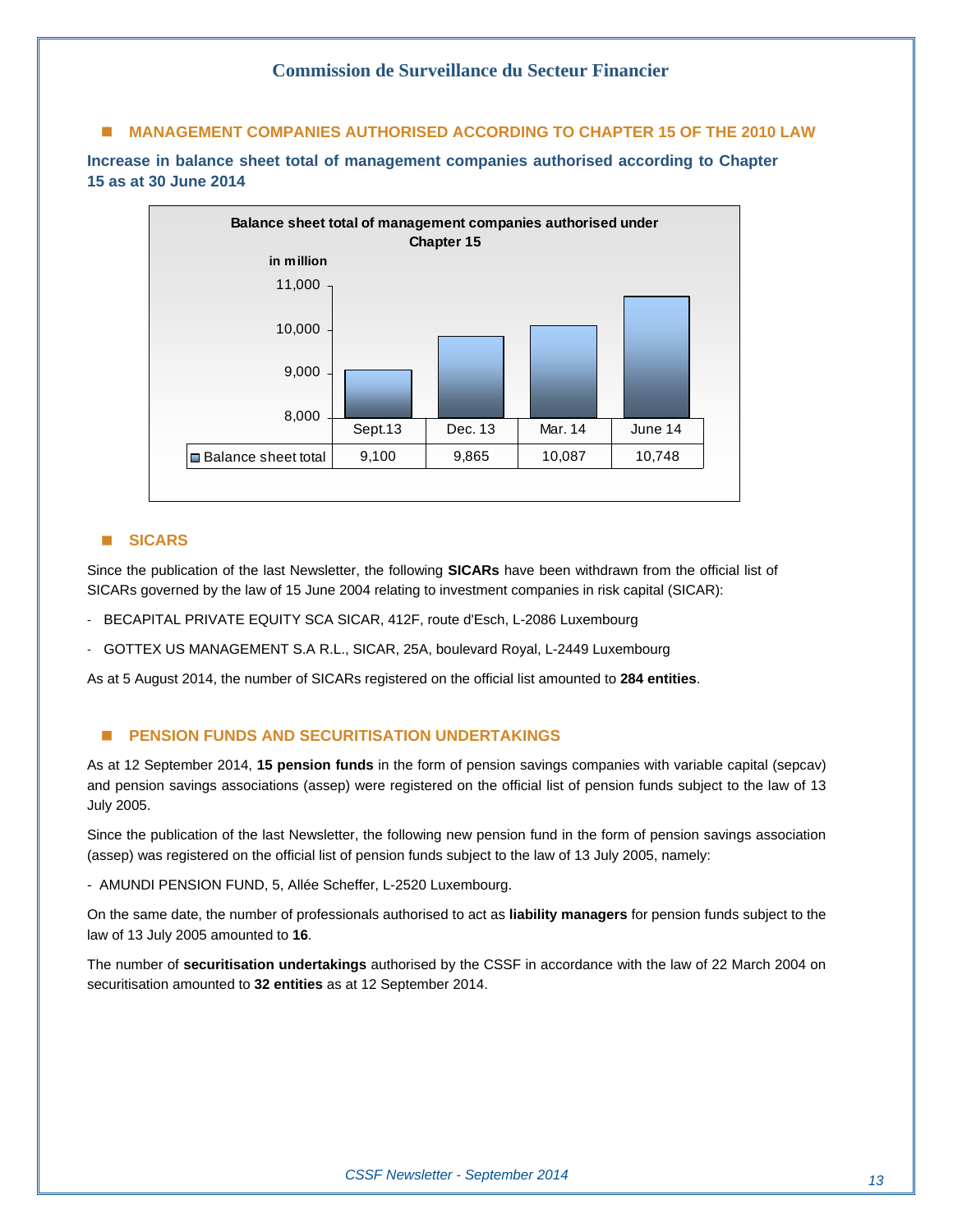#### **MANAGEMENT COMPANIES AUTHORISED ACCORDING TO CHAPTER 15 OF THE 2010 LAW**

**Increase in balance sheet total of management companies authorised according to Chapter 15 as at 30 June 2014** 



#### **SICARS**

Since the publication of the last Newsletter, the following **SICARs** have been withdrawn from the official list of SICARs governed by the law of 15 June 2004 relating to investment companies in risk capital (SICAR):

- BECAPITAL PRIVATE EQUITY SCA SICAR, 412F, route d'Esch, L-2086 Luxembourg
- GOTTEX US MANAGEMENT S.A R.L., SICAR, 25A, boulevard Royal, L-2449 Luxembourg

As at 5 August 2014, the number of SICARs registered on the official list amounted to **284 entities**.

#### **E** PENSION FUNDS AND SECURITISATION UNDERTAKINGS

As at 12 September 2014, **15 pension funds** in the form of pension savings companies with variable capital (sepcav) and pension savings associations (assep) were registered on the official list of pension funds subject to the law of 13 July 2005.

Since the publication of the last Newsletter, the following new pension fund in the form of pension savings association (assep) was registered on the official list of pension funds subject to the law of 13 July 2005, namely:

- AMUNDI PENSION FUND, 5, Allée Scheffer, L-2520 Luxembourg.

On the same date, the number of professionals authorised to act as **liability managers** for pension funds subject to the law of 13 July 2005 amounted to **16**.

The number of **securitisation undertakings** authorised by the CSSF in accordance with the law of 22 March 2004 on securitisation amounted to **32 entities** as at 12 September 2014.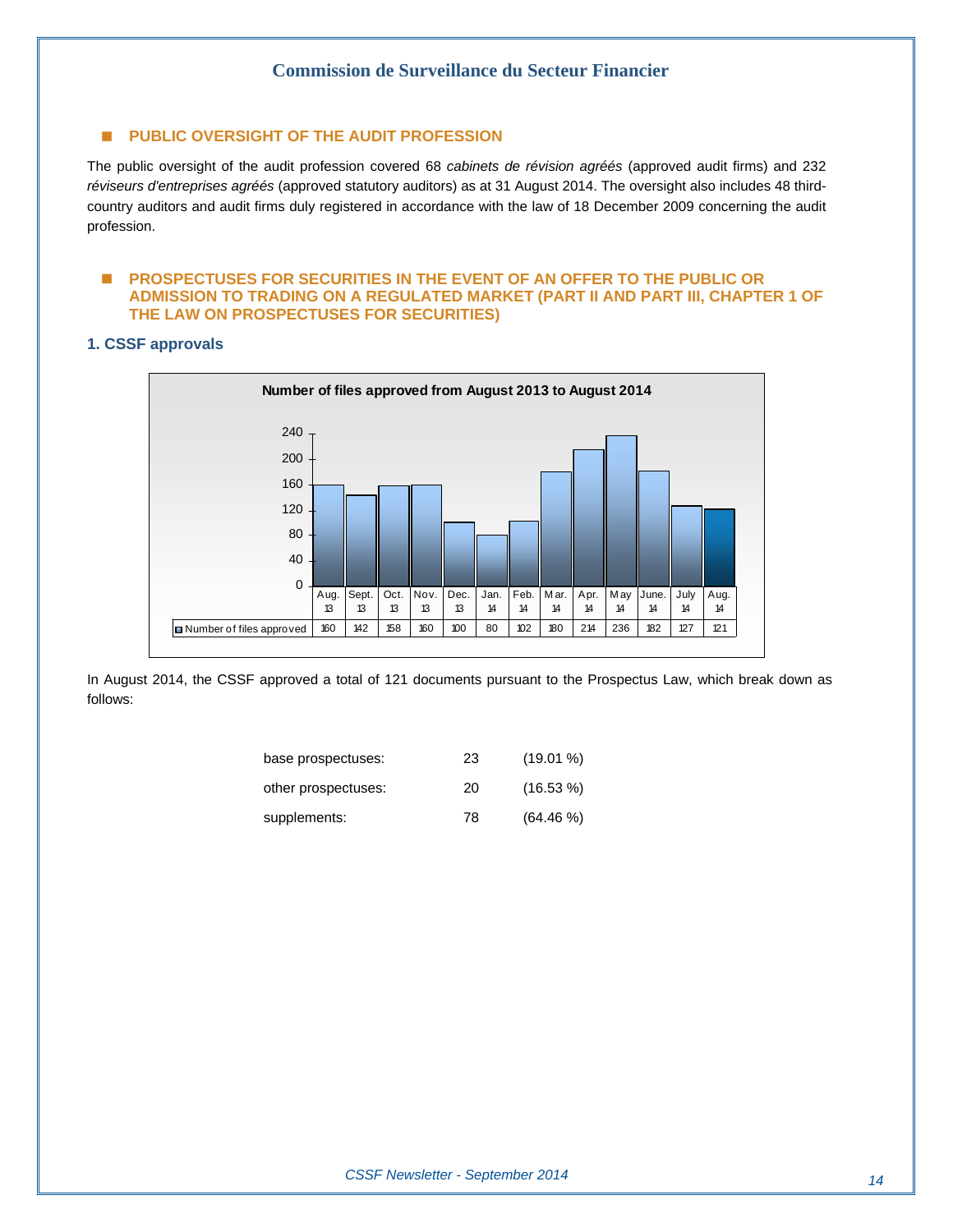#### **E** PUBLIC OVERSIGHT OF THE AUDIT PROFESSION

The public oversight of the audit profession covered 68 *cabinets de révision agréés* (approved audit firms) and 232 *réviseurs d'entreprises agréés* (approved statutory auditors) as at 31 August 2014. The oversight also includes 48 thirdcountry auditors and audit firms duly registered in accordance with the law of 18 December 2009 concerning the audit profession.

#### **E PROSPECTUSES FOR SECURITIES IN THE EVENT OF AN OFFER TO THE PUBLIC OR ADMISSION TO TRADING ON A REGULATED MARKET (PART II AND PART III, CHAPTER 1 OF THE LAW ON PROSPECTUSES FOR SECURITIES)**

#### **1. CSSF approvals**



In August 2014, the CSSF approved a total of 121 documents pursuant to the Prospectus Law, which break down as follows:

| base prospectuses:  | 23 | $(19.01\%)$ |
|---------------------|----|-------------|
| other prospectuses: | 20 | $(16.53\%)$ |
| supplements:        | 78 | $(64.46\%)$ |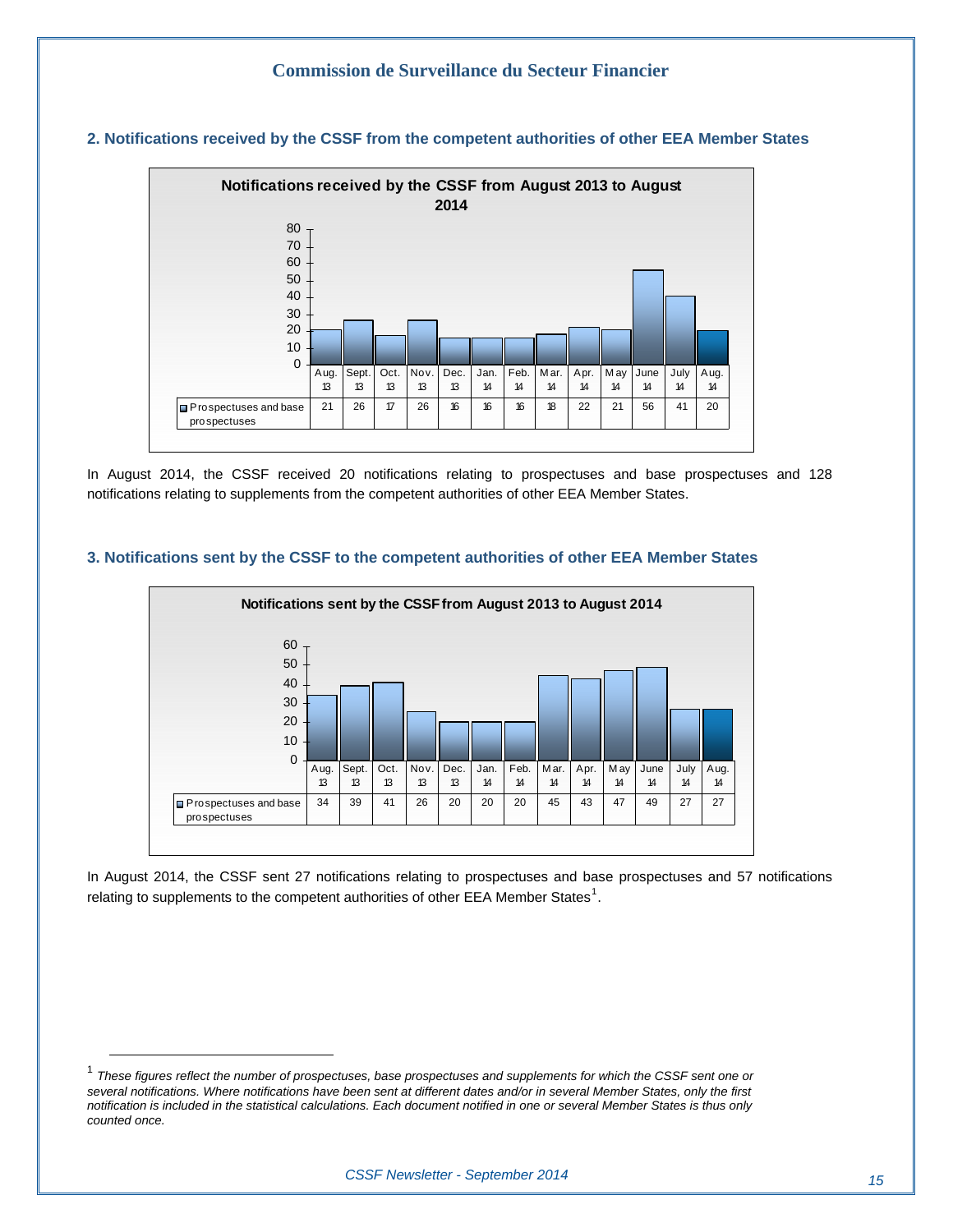

#### **2. Notifications received by the CSSF from the competent authorities of other EEA Member States**

In August 2014, the CSSF received 20 notifications relating to prospectuses and base prospectuses and 128 notifications relating to supplements from the competent authorities of other EEA Member States.





In August 2014, the CSSF sent 27 notifications relating to prospectuses and base prospectuses and 57 notifications relating to supplements to the competent authorities of other EEA Member States<sup>[1](#page-14-0)</sup>.

<span id="page-14-0"></span><sup>&</sup>lt;sup>1</sup> These figures reflect the number of prospectuses, base prospectuses and supplements for which the CSSF sent one or *several notifications. Where notifications have been sent at different dates and/or in several Member States, only the first notification is included in the statistical calculations. Each document notified in one or several Member States is thus only counted once.*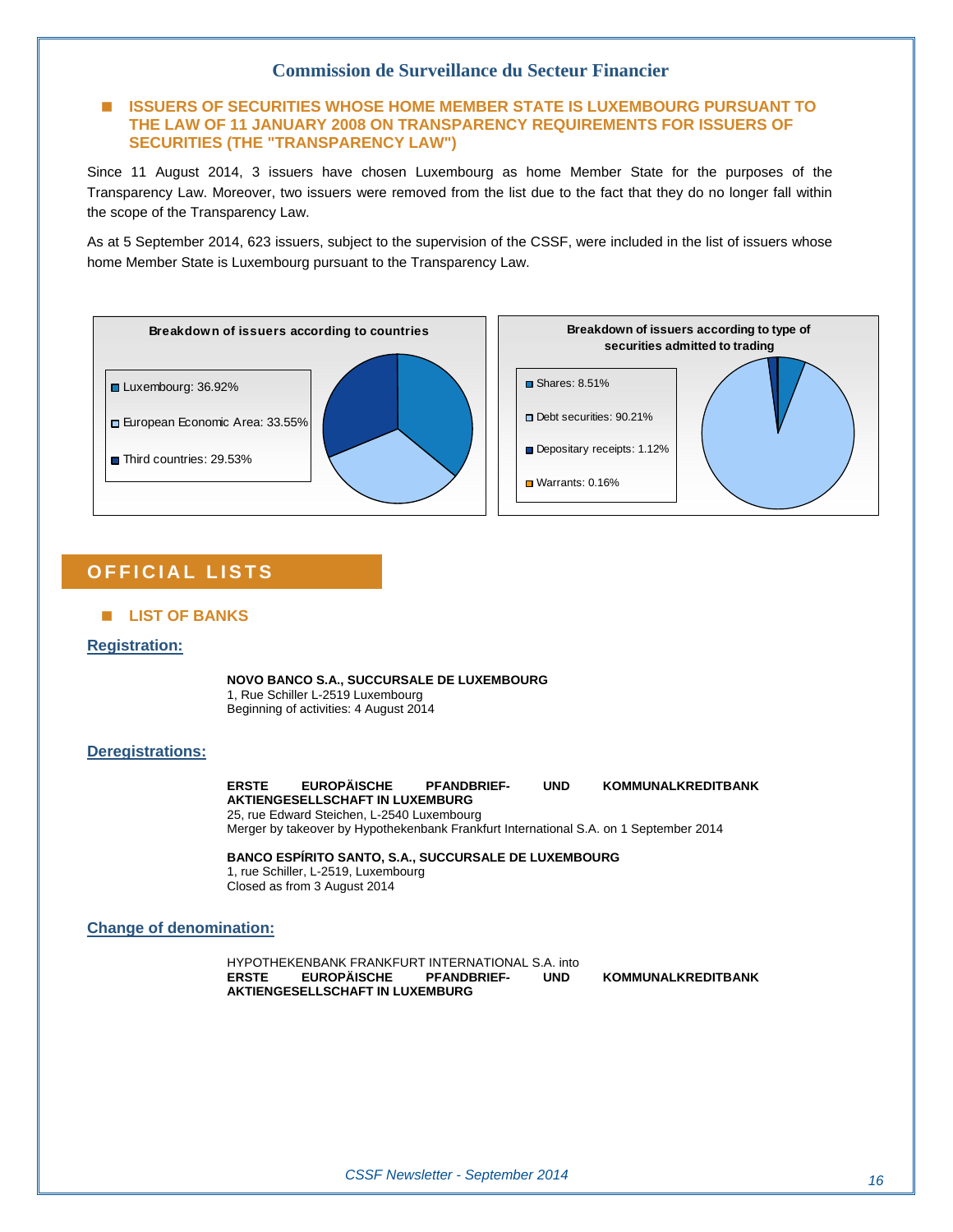#### **ISSUERS OF SECURITIES WHOSE HOME MEMBER STATE IS LUXEMBOURG PURSUANT TO THE LAW OF 11 JANUARY 2008 ON TRANSPARENCY REQUIREMENTS FOR ISSUERS OF SECURITIES (THE "TRANSPARENCY LAW")**

Since 11 August 2014, 3 issuers have chosen Luxembourg as home Member State for the purposes of the Transparency Law. Moreover, two issuers were removed from the list due to the fact that they do no longer fall within the scope of the Transparency Law.

As at 5 September 2014, 623 issuers, subject to the supervision of the CSSF, were included in the list of issuers whose home Member State is Luxembourg pursuant to the Transparency Law.



#### **OFFICIAL LISTS**

#### **LIST OF BANKS**

#### **Registration:**

**NOVO BANCO S.A., SUCCURSALE DE LUXEMBOURG**  1, Rue Schiller L-2519 Luxembourg Beginning of activities: 4 August 2014

#### **Deregistrations:**

**ERSTE EUROPÄISCHE PFANDBRIEF- UND KOMMUNALKREDITBANK AKTIENGESELLSCHAFT IN LUXEMBURG**  25, rue Edward Steichen, L-2540 Luxembourg Merger by takeover by Hypothekenbank Frankfurt International S.A. on 1 September 2014

**BANCO ESPÍRITO SANTO, S.A., SUCCURSALE DE LUXEMBOURG**  1, rue Schiller, L-2519, Luxembourg Closed as from 3 August 2014

#### **Change of denomination:**

HYPOTHEKENBANK FRANKFURT INTERNATIONAL S.A. into<br>ERSTE EUROPÄISCHE PFANDBRIEF- UND **AKTIENGESELLSCHAFT IN LUXEMBURG** 

**KOMMUNALKREDITBANK**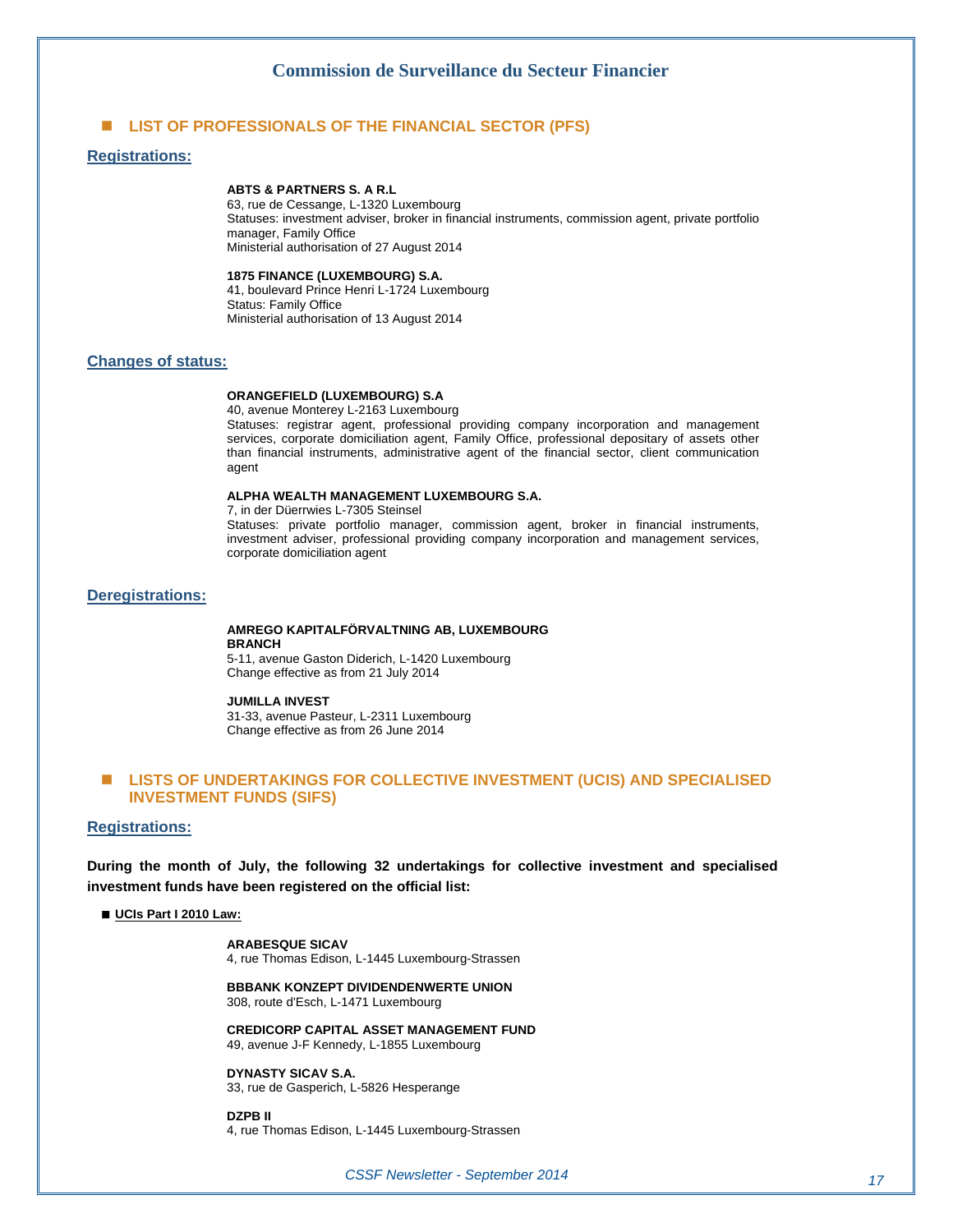#### **LIST OF PROFESSIONALS OF THE FINANCIAL SECTOR (PFS)**

#### **Registrations:**

#### **ABTS & PARTNERS S. A R.L**

63, rue de Cessange, L-1320 Luxembourg Statuses: investment adviser, broker in financial instruments, commission agent, private portfolio manager, Family Office Ministerial authorisation of 27 August 2014

#### **1875 FINANCE (LUXEMBOURG) S.A.**

41, boulevard Prince Henri L-1724 Luxembourg Status: Family Office Ministerial authorisation of 13 August 2014

#### **Changes of status:**

#### **ORANGEFIELD (LUXEMBOURG) S.A**

40, avenue Monterey L-2163 Luxembourg Statuses: registrar agent, professional providing company incorporation and management services, corporate domiciliation agent, Family Office, professional depositary of assets other than financial instruments, administrative agent of the financial sector, client communication agent

#### **ALPHA WEALTH MANAGEMENT LUXEMBOURG S.A.**

7, in der Düerrwies L-7305 Steinsel Statuses: private portfolio manager, commission agent, broker in financial instruments, investment adviser, professional providing company incorporation and management services, corporate domiciliation agent

#### **Deregistrations:**

#### **AMREGO KAPITALFÖRVALTNING AB, LUXEMBOURG BRANCH**

5-11, avenue Gaston Diderich, L-1420 Luxembourg Change effective as from 21 July 2014

#### **JUMILLA INVEST**

31-33, avenue Pasteur, L-2311 Luxembourg Change effective as from 26 June 2014

#### **LISTS OF UNDERTAKINGS FOR COLLECTIVE INVESTMENT (UCIS) AND SPECIALISED INVESTMENT FUNDS (SIFS)**

#### **Registrations:**

**During the month of July, the following 32 undertakings for collective investment and specialised investment funds have been registered on the official list:** 

#### **UCIs Part I 2010 Law:**

**ARABESQUE SICAV** 4, rue Thomas Edison, L-1445 Luxembourg-Strassen

**BBBANK KONZEPT DIVIDENDENWERTE UNION**  308, route d'Esch, L-1471 Luxembourg

**CREDICORP CAPITAL ASSET MANAGEMENT FUND** 49, avenue J-F Kennedy, L-1855 Luxembourg

**DYNASTY SICAV S.A.**  33, rue de Gasperich, L-5826 Hesperange

**DZPB II**  4, rue Thomas Edison, L-1445 Luxembourg-Strassen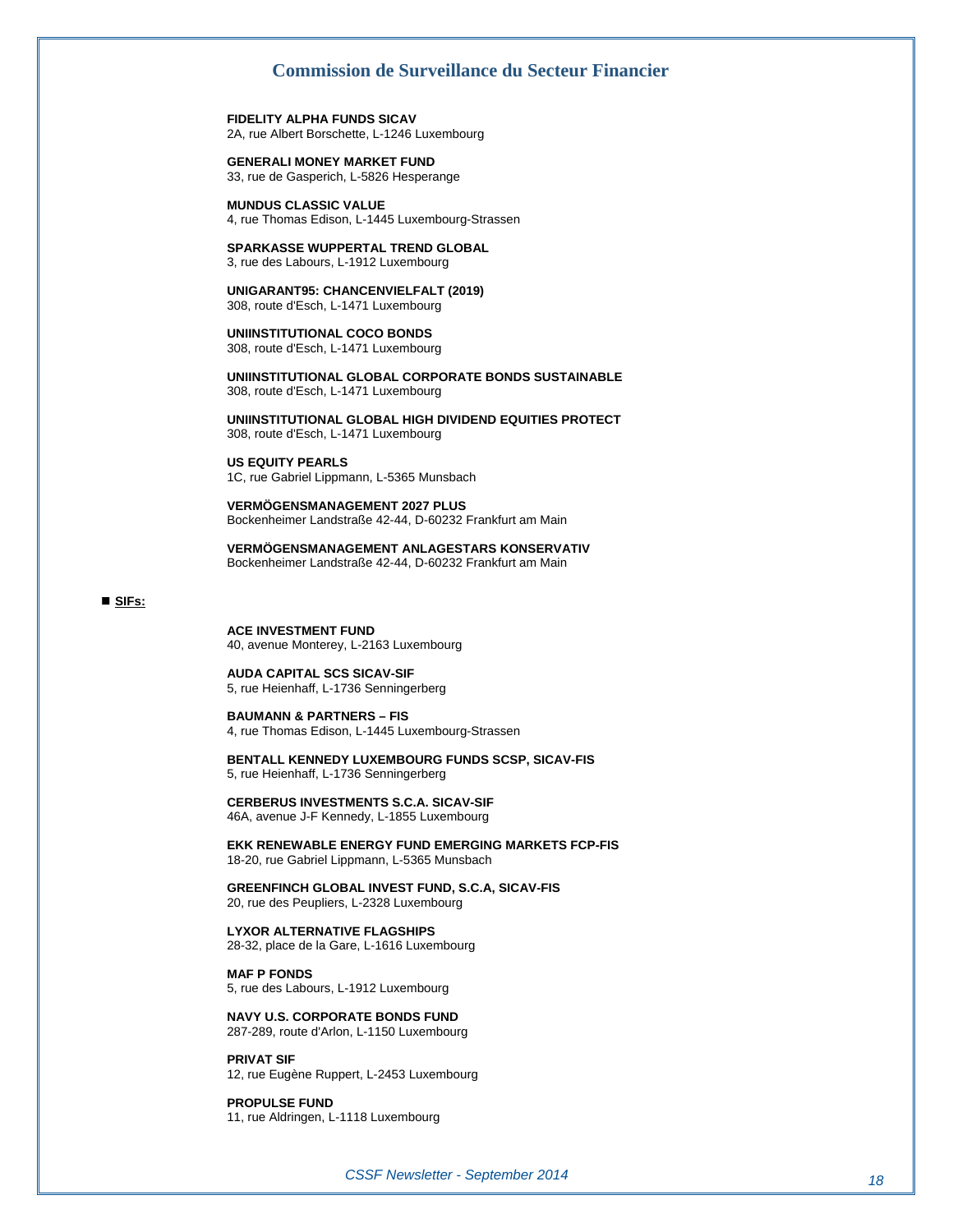**FIDELITY ALPHA FUNDS SICAV**  2A, rue Albert Borschette, L-1246 Luxembourg

**GENERALI MONEY MARKET FUND**  33, rue de Gasperich, L-5826 Hesperange

**MUNDUS CLASSIC VALUE**  4, rue Thomas Edison, L-1445 Luxembourg-Strassen

**SPARKASSE WUPPERTAL TREND GLOBAL**  3, rue des Labours, L-1912 Luxembourg

**UNIGARANT95: CHANCENVIELFALT (2019)**  308, route d'Esch, L-1471 Luxembourg

**UNIINSTITUTIONAL COCO BONDS**  308, route d'Esch, L-1471 Luxembourg

**UNIINSTITUTIONAL GLOBAL CORPORATE BONDS SUSTAINABLE**  308, route d'Esch, L-1471 Luxembourg

**UNIINSTITUTIONAL GLOBAL HIGH DIVIDEND EQUITIES PROTECT**  308, route d'Esch, L-1471 Luxembourg

**US EQUITY PEARLS**  1C, rue Gabriel Lippmann, L-5365 Munsbach

**VERMÖGENSMANAGEMENT 2027 PLUS**  Bockenheimer Landstraße 42-44, D-60232 Frankfurt am Main

**VERMÖGENSMANAGEMENT ANLAGESTARS KONSERVATIV**  Bockenheimer Landstraße 42-44, D-60232 Frankfurt am Main

#### **SIFs:**

**ACE INVESTMENT FUND**  40, avenue Monterey, L-2163 Luxembourg

**AUDA CAPITAL SCS SICAV-SIF**  5, rue Heienhaff, L-1736 Senningerberg

**BAUMANN & PARTNERS – FIS**  4, rue Thomas Edison, L-1445 Luxembourg-Strassen

**BENTALL KENNEDY LUXEMBOURG FUNDS SCSP, SICAV-FIS**  5, rue Heienhaff, L-1736 Senningerberg

**CERBERUS INVESTMENTS S.C.A. SICAV-SIF**  46A, avenue J-F Kennedy, L-1855 Luxembourg

**EKK RENEWABLE ENERGY FUND EMERGING MARKETS FCP-FIS**  18-20, rue Gabriel Lippmann, L-5365 Munsbach

**GREENFINCH GLOBAL INVEST FUND, S.C.A, SICAV-FIS**  20, rue des Peupliers, L-2328 Luxembourg

**LYXOR ALTERNATIVE FLAGSHIPS**  28-32, place de la Gare, L-1616 Luxembourg

**MAF P FONDS**  5, rue des Labours, L-1912 Luxembourg

**NAVY U.S. CORPORATE BONDS FUND**  287-289, route d'Arlon, L-1150 Luxembourg

12, rue Eugène Ruppert, L-2453 Luxembourg

**PROPULSE FUND**  11, rue Aldringen, L-1118 Luxembourg

**PRIVAT SIF**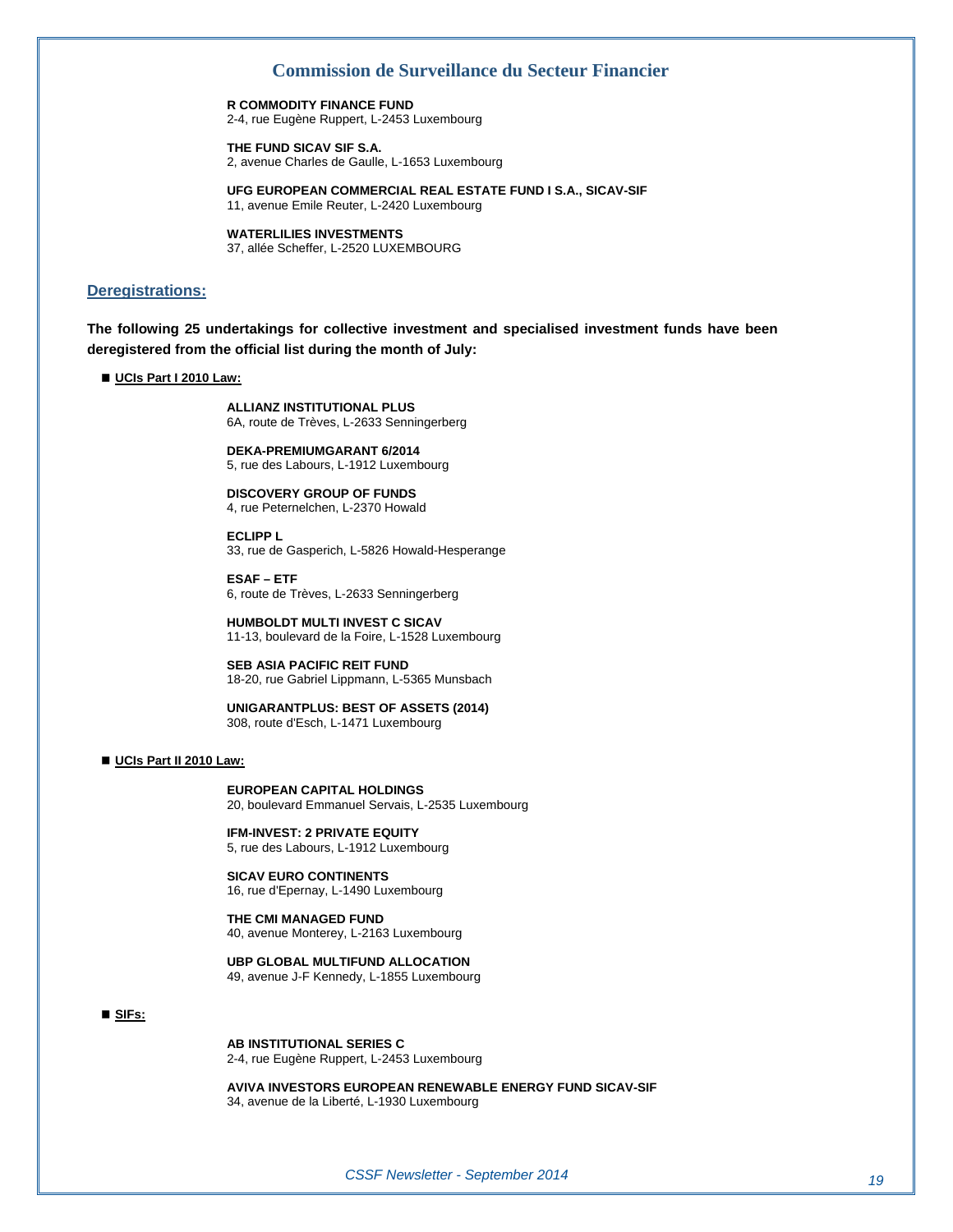**R COMMODITY FINANCE FUND** 

2-4, rue Eugène Ruppert, L-2453 Luxembourg

**THE FUND SICAV SIF S.A.**  2, avenue Charles de Gaulle, L-1653 Luxembourg

**UFG EUROPEAN COMMERCIAL REAL ESTATE FUND I S.A., SICAV-SIF**  11, avenue Emile Reuter, L-2420 Luxembourg

**WATERLILIES INVESTMENTS**  37, allée Scheffer, L-2520 LUXEMBOURG

#### **Deregistrations:**

**The following 25 undertakings for collective investment and specialised investment funds have been deregistered from the official list during the month of July:** 

 **UCIs Part I 2010 Law:**

**ALLIANZ INSTITUTIONAL PLUS**  6A, route de Trèves, L-2633 Senningerberg

**DEKA-PREMIUMGARANT 6/2014**  5, rue des Labours, L-1912 Luxembourg

**DISCOVERY GROUP OF FUNDS**  4, rue Peternelchen, L-2370 Howald

**ECLIPP L**  33, rue de Gasperich, L-5826 Howald-Hesperange

**ESAF – ETF**  6, route de Trèves, L-2633 Senningerberg

**HUMBOLDT MULTI INVEST C SICAV**  11-13, boulevard de la Foire, L-1528 Luxembourg

**SEB ASIA PACIFIC REIT FUND**  18-20, rue Gabriel Lippmann, L-5365 Munsbach

**UNIGARANTPLUS: BEST OF ASSETS (2014)**  308, route d'Esch, L-1471 Luxembourg

#### **UCIs Part II 2010 Law:**

**EUROPEAN CAPITAL HOLDINGS**  20, boulevard Emmanuel Servais, L-2535 Luxembourg

**IFM-INVEST: 2 PRIVATE EQUITY**  5, rue des Labours, L-1912 Luxembourg

**SICAV EURO CONTINENTS**  16, rue d'Epernay, L-1490 Luxembourg

**THE CMI MANAGED FUND**  40, avenue Monterey, L-2163 Luxembourg

**UBP GLOBAL MULTIFUND ALLOCATION**  49, avenue J-F Kennedy, L-1855 Luxembourg

#### **SIFs:**

**AB INSTITUTIONAL SERIES C**  2-4, rue Eugène Ruppert, L-2453 Luxembourg

**AVIVA INVESTORS EUROPEAN RENEWABLE ENERGY FUND SICAV-SIF**  34, avenue de la Liberté, L-1930 Luxembourg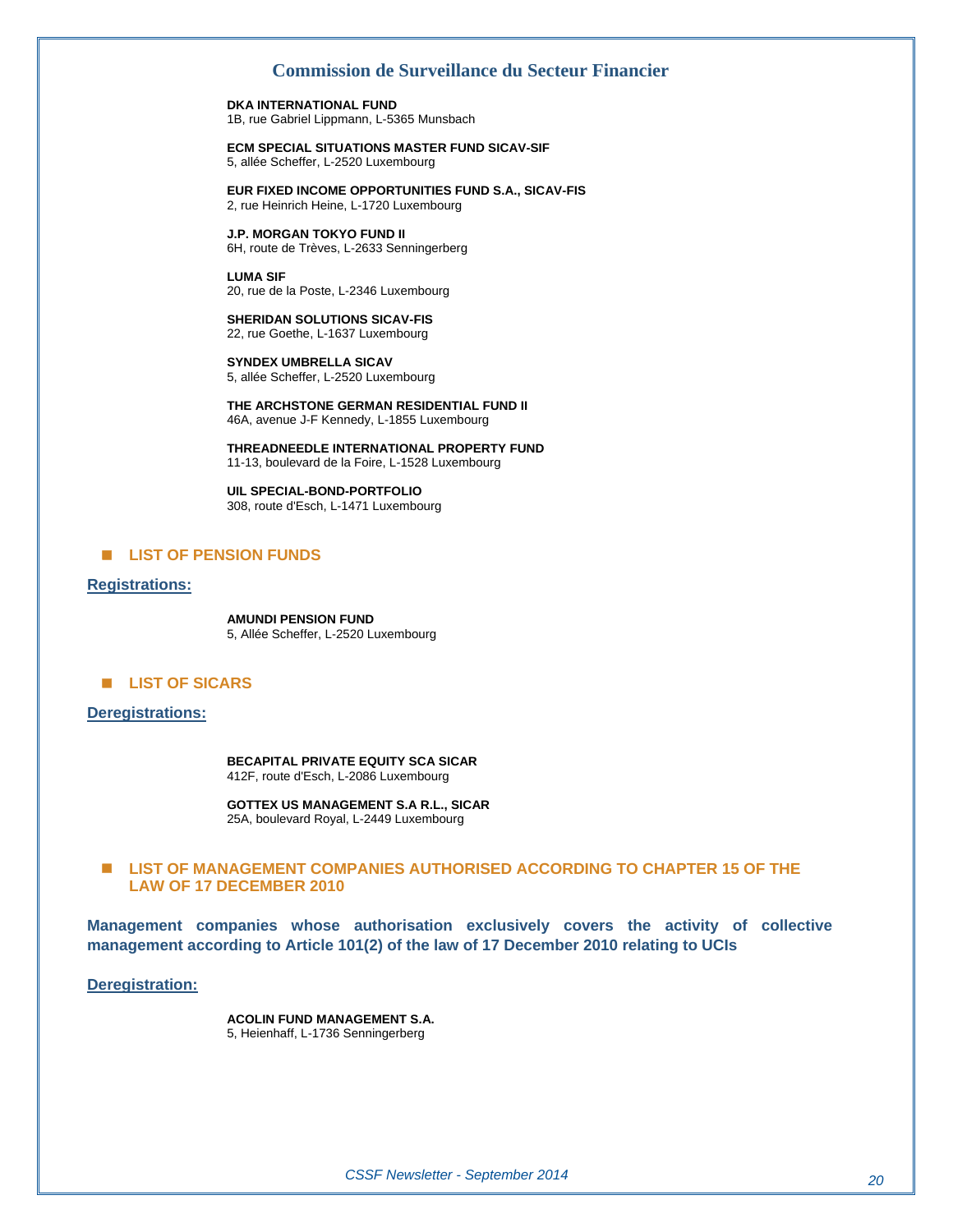**DKA INTERNATIONAL FUND**  1B, rue Gabriel Lippmann, L-5365 Munsbach

**ECM SPECIAL SITUATIONS MASTER FUND SICAV-SIF**  5, allée Scheffer, L-2520 Luxembourg

**EUR FIXED INCOME OPPORTUNITIES FUND S.A., SICAV-FIS**  2, rue Heinrich Heine, L-1720 Luxembourg

**J.P. MORGAN TOKYO FUND II**  6H, route de Trèves, L-2633 Senningerberg

**LUMA SIF**  20, rue de la Poste, L-2346 Luxembourg

**SHERIDAN SOLUTIONS SICAV-FIS**  22, rue Goethe, L-1637 Luxembourg

**SYNDEX UMBRELLA SICAV**  5, allée Scheffer, L-2520 Luxembourg

**THE ARCHSTONE GERMAN RESIDENTIAL FUND II**  46A, avenue J-F Kennedy, L-1855 Luxembourg

**THREADNEEDLE INTERNATIONAL PROPERTY FUND**  11-13, boulevard de la Foire, L-1528 Luxembourg

**UIL SPECIAL-BOND-PORTFOLIO**  308, route d'Esch, L-1471 Luxembourg

#### **E** LIST OF PENSION FUNDS

#### **Registrations:**

**AMUNDI PENSION FUND**  5, Allée Scheffer, L-2520 Luxembourg

#### **E** LIST OF SICARS

#### **Deregistrations:**

**BECAPITAL PRIVATE EQUITY SCA SICAR**  412F, route d'Esch, L-2086 Luxembourg

**GOTTEX US MANAGEMENT S.A R.L., SICAR**  25A, boulevard Royal, L-2449 Luxembourg

#### ■ LIST OF MANAGEMENT COMPANIES AUTHORISED ACCORDING TO CHAPTER 15 OF THE **LAW OF 17 DECEMBER 2010**

**Management companies whose authorisation exclusively covers the activity of collective management according to Article 101(2) of the law of 17 December 2010 relating to UCIs** 

**Deregistration:**

**ACOLIN FUND MANAGEMENT S.A.**  5, Heienhaff, L-1736 Senningerberg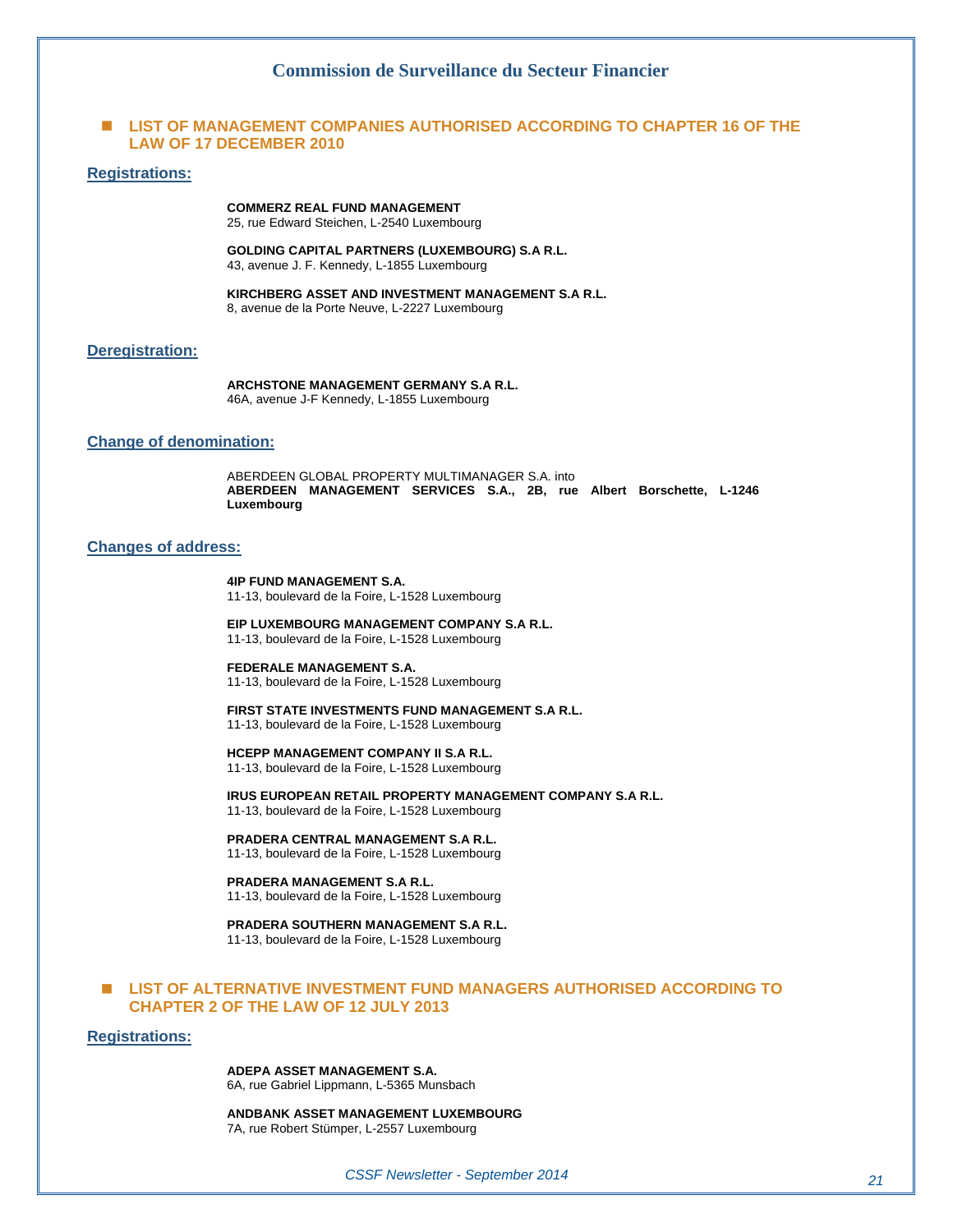#### **E LIST OF MANAGEMENT COMPANIES AUTHORISED ACCORDING TO CHAPTER 16 OF THE LAW OF 17 DECEMBER 2010**

#### **Registrations:**

**COMMERZ REAL FUND MANAGEMENT**  25, rue Edward Steichen, L-2540 Luxembourg

**GOLDING CAPITAL PARTNERS (LUXEMBOURG) S.A R.L.**  43, avenue J. F. Kennedy, L-1855 Luxembourg

**KIRCHBERG ASSET AND INVESTMENT MANAGEMENT S.A R.L.**  8, avenue de la Porte Neuve, L-2227 Luxembourg

#### **Deregistration:**

**ARCHSTONE MANAGEMENT GERMANY S.A R.L.**  46A, avenue J-F Kennedy, L-1855 Luxembourg

#### **Change of denomination:**

ABERDEEN GLOBAL PROPERTY MULTIMANAGER S.A. into **ABERDEEN MANAGEMENT SERVICES S.A., 2B, rue Albert Borschette, L-1246 Luxembourg** 

#### **Changes of address:**

**4IP FUND MANAGEMENT S.A.**  11-13, boulevard de la Foire, L-1528 Luxembourg

**EIP LUXEMBOURG MANAGEMENT COMPANY S.A R.L.**  11-13, boulevard de la Foire, L-1528 Luxembourg

**FEDERALE MANAGEMENT S.A.**  11-13, boulevard de la Foire, L-1528 Luxembourg

**FIRST STATE INVESTMENTS FUND MANAGEMENT S.A R.L.**  11-13, boulevard de la Foire, L-1528 Luxembourg

#### **HCEPP MANAGEMENT COMPANY II S.A R.L.**

11-13, boulevard de la Foire, L-1528 Luxembourg

**IRUS EUROPEAN RETAIL PROPERTY MANAGEMENT COMPANY S.A R.L.**  11-13, boulevard de la Foire, L-1528 Luxembourg

**PRADERA CENTRAL MANAGEMENT S.A R.L.** 

11-13, boulevard de la Foire, L-1528 Luxembourg

#### **PRADERA MANAGEMENT S.A R.L.**

11-13, boulevard de la Foire, L-1528 Luxembourg

**PRADERA SOUTHERN MANAGEMENT S.A R.L.**  11-13, boulevard de la Foire, L-1528 Luxembourg

#### **LIST OF ALTERNATIVE INVESTMENT FUND MANAGERS AUTHORISED ACCORDING TO CHAPTER 2 OF THE LAW OF 12 JULY 2013**

#### **Registrations:**

**ADEPA ASSET MANAGEMENT S.A.** 

6A, rue Gabriel Lippmann, L-5365 Munsbach

**ANDBANK ASSET MANAGEMENT LUXEMBOURG**  7A, rue Robert Stümper, L-2557 Luxembourg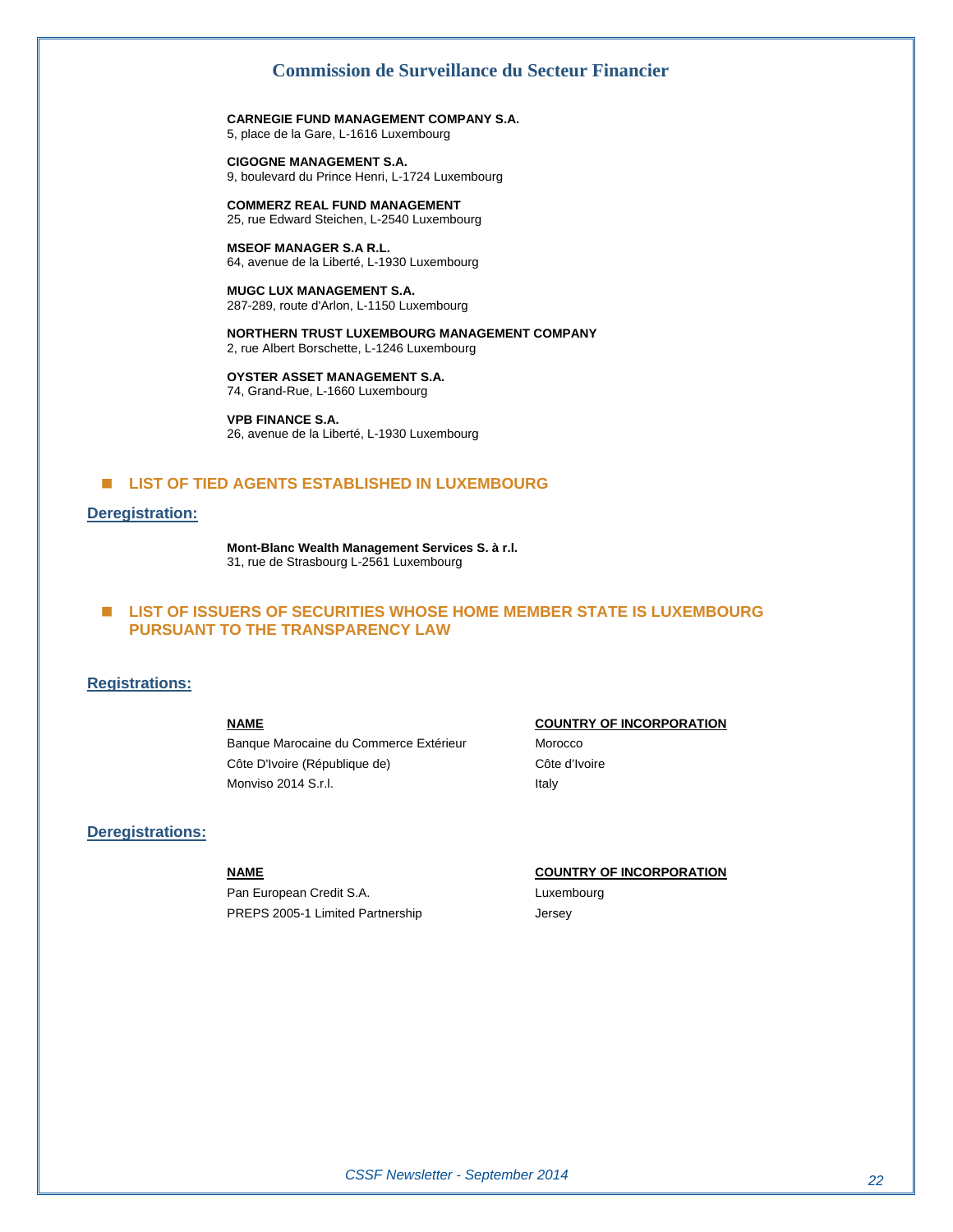**CARNEGIE FUND MANAGEMENT COMPANY S.A.**  5, place de la Gare, L-1616 Luxembourg

**CIGOGNE MANAGEMENT S.A.**  9, boulevard du Prince Henri, L-1724 Luxembourg

**COMMERZ REAL FUND MANAGEMENT**  25, rue Edward Steichen, L-2540 Luxembourg

**MSEOF MANAGER S.A R.L.**  64, avenue de la Liberté, L-1930 Luxembourg

**MUGC LUX MANAGEMENT S.A.**  287-289, route d'Arlon, L-1150 Luxembourg

**NORTHERN TRUST LUXEMBOURG MANAGEMENT COMPANY**  2, rue Albert Borschette, L-1246 Luxembourg

**OYSTER ASSET MANAGEMENT S.A.**  74, Grand-Rue, L-1660 Luxembourg

**VPB FINANCE S.A.**  26, avenue de la Liberté, L-1930 Luxembourg

#### **E** LIST OF TIED AGENTS ESTABLISHED IN LUXEMBOURG

#### **Deregistration:**

**Mont-Blanc Wealth Management Services S. à r.l.**  31, rue de Strasbourg L-2561 Luxembourg

#### **LIST OF ISSUERS OF SECURITIES WHOSE HOME MEMBER STATE IS LUXEMBOURG PURSUANT TO THE TRANSPARENCY LAW**

#### **Registrations:**

Banque Marocaine du Commerce Extérieur Morocco Côte D'Ivoire (République de) Côte d'Ivoire Monviso 2014 S.r.l. **Italy** 

#### **Deregistrations:**

Pan European Credit S.A. Luxembourg PREPS 2005-1 Limited Partnership Jersey

#### **NAME COUNTRY OF INCORPORATION**

#### **NAME COUNTRY OF INCORPORATION**